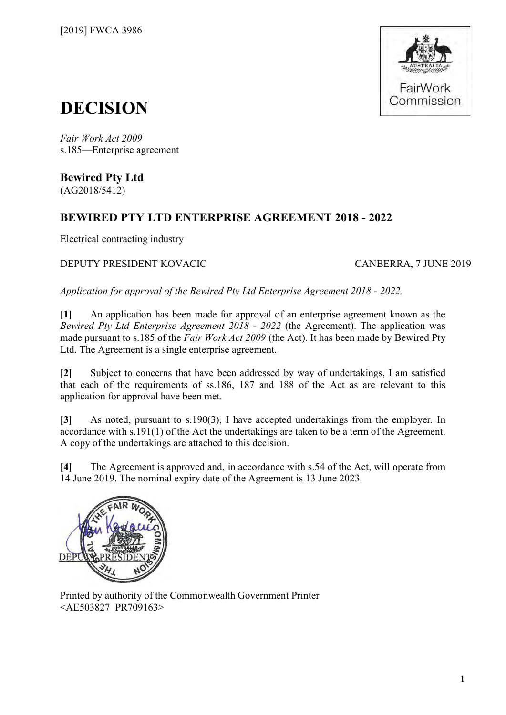

# **DECISION**

*Fair Work Act 2009*  s.185—Enterprise agreement

**Bewired Pty Ltd** (AG2018/5412)

### **BEWIRED PTY LTD ENTERPRISE AGREEMENT 2018 - 2022**

Electrical contracting industry

DEPUTY PRESIDENT KOVACIC CANBERRA, 7 JUNE 2019

*Application for approval of the Bewired Pty Ltd Enterprise Agreement 2018 - 2022.*

**[1]** An application has been made for approval of an enterprise agreement known as the *Bewired Pty Ltd Enterprise Agreement 2018 - 2022* (the Agreement). The application was made pursuant to s.185 of the *Fair Work Act 2009* (the Act). It has been made by Bewired Pty Ltd. The Agreement is a single enterprise agreement.

**[2]** Subject to concerns that have been addressed by way of undertakings, I am satisfied that each of the requirements of ss.186, 187 and 188 of the Act as are relevant to this application for approval have been met.

**[3]** As noted, pursuant to s.190(3), I have accepted undertakings from the employer*.* In accordance with s.191(1) of the Act the undertakings are taken to be a term of the Agreement. A copy of the undertakings are attached to this decision.

**[4]** The Agreement is approved and, in accordance with s.54 of the Act, will operate from 14 June 2019. The nominal expiry date of the Agreement is 13 June 2023.



Printed by authority of the Commonwealth Government Printer <AE503827 PR709163>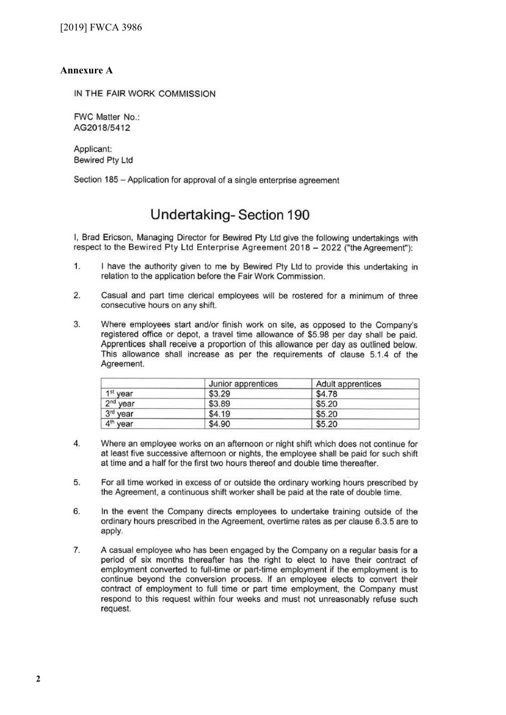#### **Annexure A**

IN **THE** FAIR WORK COMMISSION

FWC Matter No.: AG2018/5412

Applicant: Bewired Pty Ltd

Section 185 - Application for approval of a single enterprise agreement

### **Undertaking- Section 190**

I, Brad Ericson, Managing Director for Bewired Pty Ltd give the following undertakings with respect to the Bewired Pty Ltd Enterprise Agreement 2018 - 2022 ("the Agreement"):

- 1. I have the authority given to me by Bewired Pty Ltd to provide this undertaking in relation to the application before the Fair Work Commission.
- 2. Casual and part time clerical employees will be rostered for a minimum of three consecutive hours on any shift.
- 3. Where employees start and/or finish work on site, as opposed to the Company's registered office or depot, a travel time allowance of \$5.98 per day shall be paid. Apprentices shall receive a proportion of this allowance per day as outlined below. This allowance shall increase as per the requirements of clause 5.1.4 of the Agreement.

|                      | Junior apprentices | Adult apprentices |
|----------------------|--------------------|-------------------|
| 1 <sup>st</sup> year | \$3.29             | \$4.78            |
| 2 <sup>nd</sup> year | \$3.89             | \$5.20            |
| 3rd year             | \$4.19             | \$5.20            |
| 4 <sup>th</sup> year | \$4.90             | \$5.20            |

- 4. Where an employee works on an afternoon or night shift which does not continue for at least five successive afternoon or nights, the employee shall be paid for such shift at time and a half for the first two hours thereof and double time thereafter.
- 5. For all time worked in excess of or outside the ordinary working hours prescribed by the Agreement, a continuous shift worker shall be paid at the rate of double time.
- 6. In the event the Company directs employees to undertake training outside of the ordinary hours prescribed in the Agreement, overtime rates as per clause 6.3.5 are to apply.
- 7. A casual employee who has been engaged by the Company on a regular basis for a period of six months thereafter has the right to elect to have their contract of employment converted to full-time or part-time employment if the employment is to continue beyond the conversion process. If an employee elects to convert their contract of employment to full time or part time employment, the Company must respond to this request within four weeks and must not unreasonably refuse such request.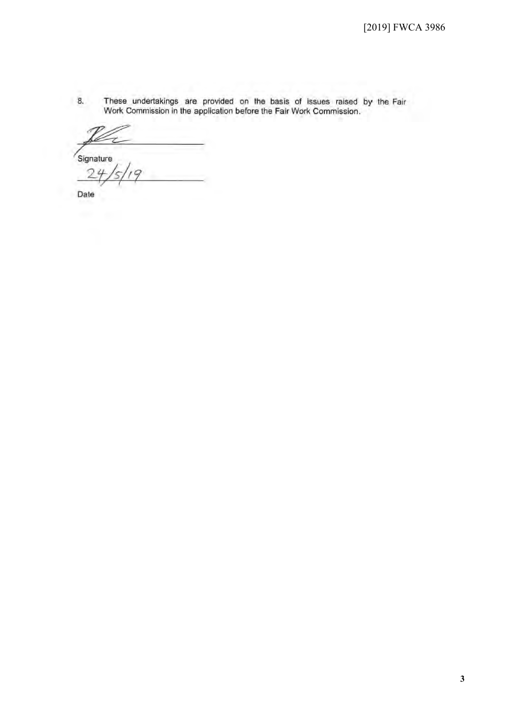8. These undertakings are provided on the basis of Issues raised by the Fair Work Commission in the application before the Fair Work Commission.

Signature C

Date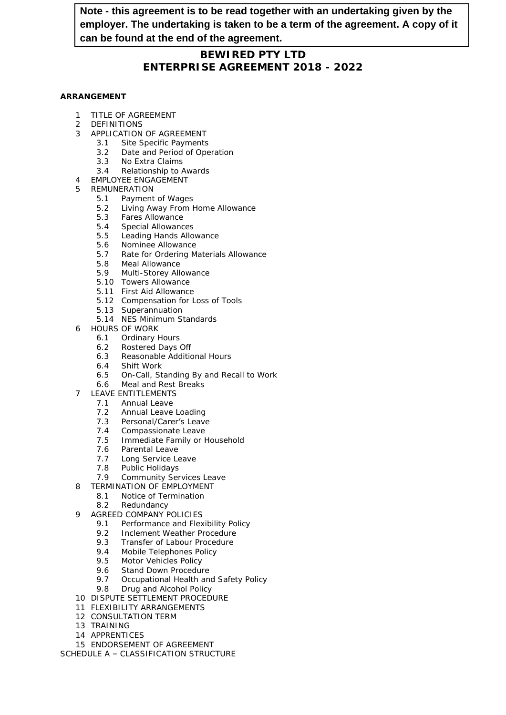### **Note - this agreement is to be read together with an undertaking given by the employer. The undertaking is taken to be a term of the agreement. A copy of it can be found at the end of the agreement.**

#### **BEWIRED PTY LTD ENTERPRISE AGREEMENT 2018 - 2022**

#### **ARRANGEMENT**

- 1 TITLE OF AGREEMENT
- 2 DEFINITIONS
- 3 APPLICATION OF AGREEMENT
	- 3.1 Site Specific Payments
	- 3.2 Date and Period of Operation
	- 3.3 No Extra Claims
	- 3.4 Relationship to Awards
- 4 EMPLOYEE ENGAGEMENT
- 5 REMUNERATION
	- 5.1 Payment of Wages
	- 5.2 Living Away From Home Allowance
	- 5.3 Fares Allowance
	- 5.4 Special Allowances
	- 5.5 Leading Hands Allowance
	- 5.6 Nominee Allowance
	- 5.7 Rate for Ordering Materials Allowance
	- 5.8 Meal Allowance
	- 5.9 Multi-Storey Allowance
	- 5.10 Towers Allowance
	- 5.11 First Aid Allowance
	- 5.12 Compensation for Loss of Tools
	- 5.13 Superannuation
	- 5.14 NES Minimum Standards
- 6 HOURS OF WORK
	- 6.1 Ordinary Hours
	- 6.2 Rostered Days Off
	- 6.3 Reasonable Additional Hours
	- 6.4 Shift Work
	- 6.5 On-Call, Standing By and Recall to Work
	- 6.6 Meal and Rest Breaks
- 7 LEAVE ENTITLEMENTS
	- 7.1 Annual Leave
	- 7.2 Annual Leave Loading
	- 7.3 Personal/Carer's Leave
	- 7.4 Compassionate Leave
	- 7.5 Immediate Family or Household
	- 7.6 Parental Leave
	- 7.7 Long Service Leave
	- 7.8 Public Holidays<br>7.9 Community Ser
	- **Community Services Leave**
- 8 TERMINATION OF EMPLOYMENT
	- 8.1 Notice of Termination
	- 8.2 Redundancy
- 9 AGREED COMPANY POLICIES
	- 9.1 Performance and Flexibility Policy
	- 9.2 Inclement Weather Procedure
	- 9.3 Transfer of Labour Procedure
	- 9.4 Mobile Telephones Policy
	- 9.5 Motor Vehicles Policy
	- 9.6 Stand Down Procedure
	- 9.7 Occupational Health and Safety Policy
	- 9.8 Drug and Alcohol Policy
- 10 DISPUTE SETTLEMENT PROCEDURE
- 11 FLEXIBILITY ARRANGEMENTS
- 12 CONSULTATION TERM
- 13 TRAINING
- 14 APPRENTICES

15 ENDORSEMENT OF AGREEMENT SCHEDULE A – CLASSIFICATION STRUCTURE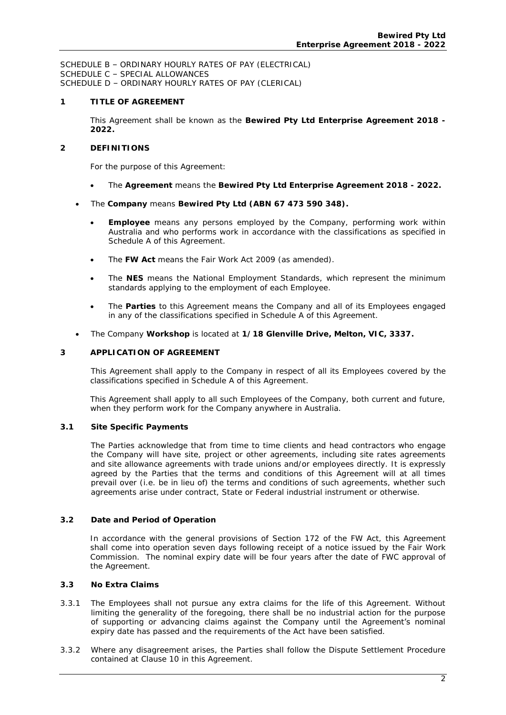SCHEDULE B – ORDINARY HOURLY RATES OF PAY (ELECTRICAL) SCHEDULE C – SPECIAL ALLOWANCES SCHEDULE D – ORDINARY HOURLY RATES OF PAY (CLERICAL)

#### **1 TITLE OF AGREEMENT**

This Agreement shall be known as the **Bewired Pty Ltd Enterprise Agreement 2018 - 2022.**

#### **2 DEFINITIONS**

For the purpose of this Agreement:

- The *Agreement* means the **Bewired Pty Ltd Enterprise Agreement 2018 2022.**
- The *Company* means **Bewired Pty Ltd (ABN 67 473 590 348).**
	- *Employee* means any persons employed by the Company, performing work within Australia and who performs work in accordance with the classifications as specified in Schedule A of this Agreement.
	- The *FW Act* means the *Fair Work Act 2009* (as amended).
	- The *NES* means the National Employment Standards, which represent the minimum standards applying to the employment of each Employee.
	- The *Parties* to this Agreement means the Company and all of its Employees engaged in any of the classifications specified in Schedule A of this Agreement.
- The Company *Workshop* is located at **1/18 Glenville Drive, Melton, VIC, 3337.**

#### **3 APPLICATION OF AGREEMENT**

This Agreement shall apply to the Company in respect of all its Employees covered by the classifications specified in Schedule A of this Agreement.

This Agreement shall apply to all such Employees of the Company, both current and future, when they perform work for the Company anywhere in Australia.

#### **3.1 Site Specific Payments**

The Parties acknowledge that from time to time clients and head contractors who engage the Company will have site, project or other agreements, including site rates agreements and site allowance agreements with trade unions and/or employees directly. It is expressly agreed by the Parties that the terms and conditions of this Agreement will at all times prevail over (i.e. be in lieu of) the terms and conditions of such agreements, whether such agreements arise under contract, State or Federal industrial instrument or otherwise.

#### **3.2 Date and Period of Operation**

In accordance with the general provisions of Section 172 of the FW Act, this Agreement shall come into operation seven days following receipt of a notice issued by the Fair Work Commission. The nominal expiry date will be four years after the date of FWC approval of the Agreement.

#### **3.3 No Extra Claims**

- 3.3.1 The Employees shall not pursue any extra claims for the life of this Agreement. Without limiting the generality of the foregoing, there shall be no industrial action for the purpose of supporting or advancing claims against the Company until the Agreement's nominal expiry date has passed and the requirements of the Act have been satisfied.
- 3.3.2 Where any disagreement arises, the Parties shall follow the Dispute Settlement Procedure contained at Clause 10 in this Agreement.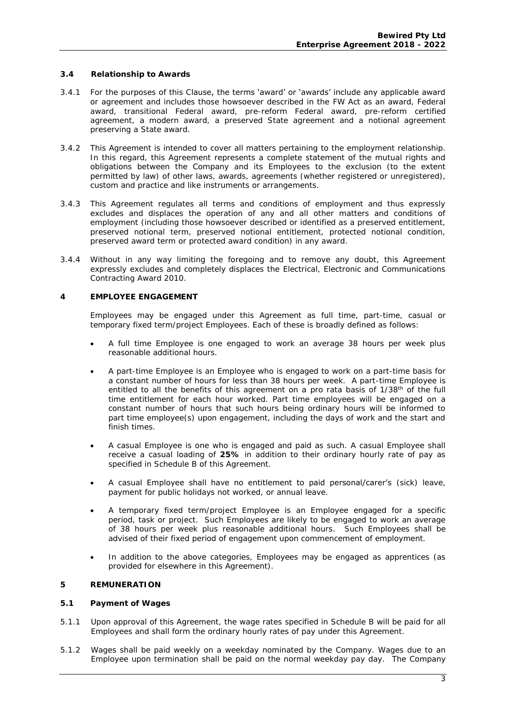#### **3.4 Relationship to Awards**

- 3.4.1 For the purposes of this Clause, the terms 'award' or 'awards' include any applicable award or agreement and includes those howsoever described in the FW Act as an award, Federal award, transitional Federal award, pre-reform Federal award, pre-reform certified agreement, a modern award, a preserved State agreement and a notional agreement preserving a State award.
- 3.4.2 This Agreement is intended to cover all matters pertaining to the employment relationship. In this regard, this Agreement represents a complete statement of the mutual rights and obligations between the Company and its Employees to the exclusion (to the extent permitted by law) of other laws, awards, agreements (whether registered or unregistered), custom and practice and like instruments or arrangements.
- 3.4.3 This Agreement regulates all terms and conditions of employment and thus expressly excludes and displaces the operation of any and all other matters and conditions of employment (including those howsoever described or identified as a preserved entitlement, preserved notional term, preserved notional entitlement, protected notional condition, preserved award term or protected award condition) in any award.
- 3.4.4 Without in any way limiting the foregoing and to remove any doubt, this Agreement expressly excludes and completely displaces the *Electrical, Electronic and Communications Contracting Award 2010.*

#### **4 EMPLOYEE ENGAGEMENT**

Employees may be engaged under this Agreement as full time, part-time, casual or temporary fixed term/project Employees. Each of these is broadly defined as follows:

- A full time Employee is one engaged to work an average 38 hours per week plus reasonable additional hours.
- A part-time Employee is an Employee who is engaged to work on a part-time basis for a constant number of hours for less than 38 hours per week. A part-time Employee is entitled to all the benefits of this agreement on a *pro rata* basis of 1/38<sup>th</sup> of the full time entitlement for each hour worked. Part time employees will be engaged on a constant number of hours that such hours being ordinary hours will be informed to part time employee(s) upon engagement, including the days of work and the start and finish times.
- A casual Employee is one who is engaged and paid as such. A casual Employee shall receive a casual loading of **25%** in addition to their ordinary hourly rate of pay as specified in Schedule B of this Agreement.
- A casual Employee shall have no entitlement to paid personal/carer's (sick) leave, payment for public holidays not worked, or annual leave.
- A temporary fixed term/project Employee is an Employee engaged for a specific period, task or project. Such Employees are likely to be engaged to work an average of 38 hours per week plus reasonable additional hours. Such Employees shall be advised of their fixed period of engagement upon commencement of employment.
- In addition to the above categories, Employees may be engaged as apprentices (as provided for elsewhere in this Agreement).

#### **5 REMUNERATION**

- **5.1 Payment of Wages**
- 5.1.1 Upon approval of this Agreement, the wage rates specified in Schedule B will be paid for all Employees and shall form the ordinary hourly rates of pay under this Agreement.
- 5.1.2 Wages shall be paid weekly on a weekday nominated by the Company. Wages due to an Employee upon termination shall be paid on the normal weekday pay day. The Company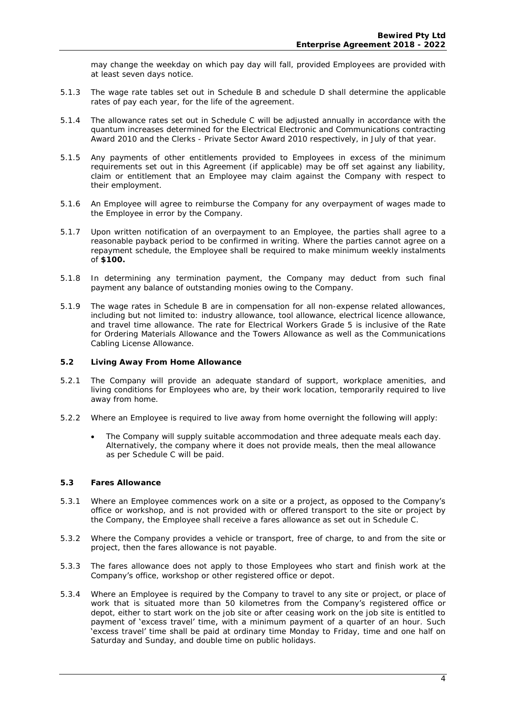may change the weekday on which pay day will fall, provided Employees are provided with at least seven days notice.

- 5.1.3 The wage rate tables set out in Schedule B and schedule D shall determine the applicable rates of pay each year, for the life of the agreement.
- 5.1.4 The allowance rates set out in Schedule C will be adjusted annually in accordance with the quantum increases determined for the Electrical Electronic and Communications contracting Award 2010 and the Clerks - Private Sector Award 2010 respectively, in July of that year.
- 5.1.5 Any payments of other entitlements provided to Employees in excess of the minimum requirements set out in this Agreement (if applicable) may be off set against any liability, claim or entitlement that an Employee may claim against the Company with respect to their employment.
- 5.1.6 An Employee will agree to reimburse the Company for any overpayment of wages made to the Employee in error by the Company.
- 5.1.7 Upon written notification of an overpayment to an Employee, the parties shall agree to a reasonable payback period to be confirmed in writing. Where the parties cannot agree on a repayment schedule, the Employee shall be required to make minimum weekly instalments of **\$100.**
- 5.1.8 In determining any termination payment, the Company may deduct from such final payment any balance of outstanding monies owing to the Company.
- 5.1.9 The wage rates in Schedule B are in compensation for all non-expense related allowances, including but not limited to: industry allowance, tool allowance, electrical licence allowance, and travel time allowance. The rate for Electrical Workers Grade 5 is inclusive of the Rate for Ordering Materials Allowance and the Towers Allowance as well as the Communications Cabling License Allowance.
- **5.2 Living Away From Home Allowance**
- 5.2.1 The Company will provide an adequate standard of support, workplace amenities, and living conditions for Employees who are, by their work location, temporarily required to live away from home.
- 5.2.2 Where an Employee is required to live away from home overnight the following will apply:
	- The Company will supply suitable accommodation and three adequate meals each day. Alternatively, the company where it does not provide meals, then the meal allowance as per Schedule C will be paid.
- **5.3 Fares Allowance**
- 5.3.1 Where an Employee commences work on a site or a project, as opposed to the Company's office or workshop, and is not provided with or offered transport to the site or project by the Company, the Employee shall receive a fares allowance as set out in Schedule C.
- 5.3.2 Where the Company provides a vehicle or transport, free of charge, to and from the site or project, then the fares allowance is not payable.
- 5.3.3 The fares allowance does not apply to those Employees who start and finish work at the Company's office, workshop or other registered office or depot.
- 5.3.4 Where an Employee is required by the Company to travel to any site or project, or place of work that is situated more than 50 kilometres from the Company's registered office or depot, either to start work on the job site or after ceasing work on the job site is entitled to payment of 'excess travel' time, with a minimum payment of a quarter of an hour. Such 'excess travel' time shall be paid at ordinary time Monday to Friday, time and one half on Saturday and Sunday, and double time on public holidays.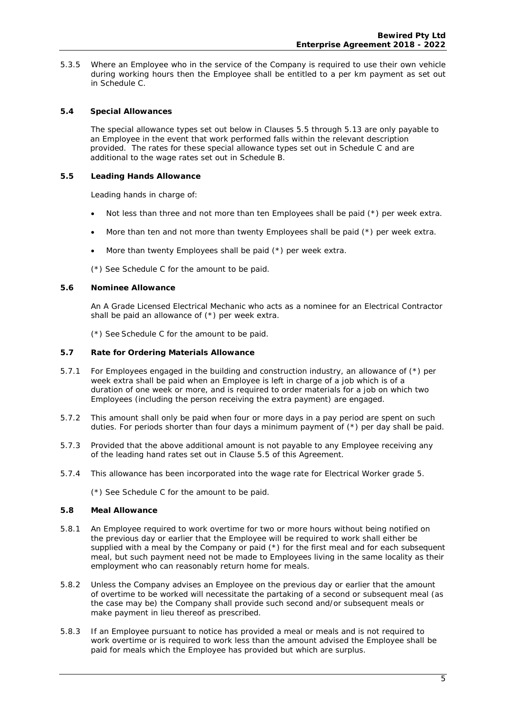- 5.3.5 Where an Employee who in the service of the Company is required to use their own vehicle during working hours then the Employee shall be entitled to a per km payment as set out in Schedule C.
- **5.4 Special Allowances**

The special allowance types set out below in Clauses 5.5 through 5.13 are only payable to an Employee in the event that work performed falls within the relevant description provided. The rates for these special allowance types set out in Schedule C and are additional to the wage rates set out in Schedule B.

**5.5 Leading Hands Allowance** 

Leading hands in charge of:

- Not less than three and not more than ten Employees shall be paid (\*) per week extra.
- More than ten and not more than twenty Employees shall be paid (\*) per week extra.
- More than twenty Employees shall be paid (\*) per week extra.

(\*) See Schedule C for the amount to be paid.

**5.6 Nominee Allowance** 

An A Grade Licensed Electrical Mechanic who acts as a nominee for an Electrical Contractor shall be paid an allowance of (\*) per week extra.

(\*) See Schedule C for the amount to be paid.

- **5.7 Rate for Ordering Materials Allowance**
- 5.7.1 For Employees engaged in the building and construction industry, an allowance of (\*) per week extra shall be paid when an Employee is left in charge of a job which is of a duration of one week or more, and is required to order materials for a job on which two Employees (including the person receiving the extra payment) are engaged.
- 5.7.2 This amount shall only be paid when four or more days in a pay period are spent on such duties. For periods shorter than four days a minimum payment of  $(*)$  per day shall be paid.
- 5.7.3 Provided that the above additional amount is not payable to any Employee receiving any of the leading hand rates set out in Clause 5.5 of this Agreement.
- 5.7.4 This allowance has been incorporated into the wage rate for Electrical Worker grade 5.

(\*) See Schedule C for the amount to be paid.

- **5.8 Meal Allowance**
- 5.8.1 An Employee required to work overtime for two or more hours without being notified on the previous day or earlier that the Employee will be required to work shall either be supplied with a meal by the Company or paid (\*) for the first meal and for each subsequent meal, but such payment need not be made to Employees living in the same locality as their employment who can reasonably return home for meals.
- 5.8.2 Unless the Company advises an Employee on the previous day or earlier that the amount of overtime to be worked will necessitate the partaking of a second or subsequent meal (as the case may be) the Company shall provide such second and/or subsequent meals or make payment in lieu thereof as prescribed.
- 5.8.3 If an Employee pursuant to notice has provided a meal or meals and is not required to work overtime or is required to work less than the amount advised the Employee shall be paid for meals which the Employee has provided but which are surplus.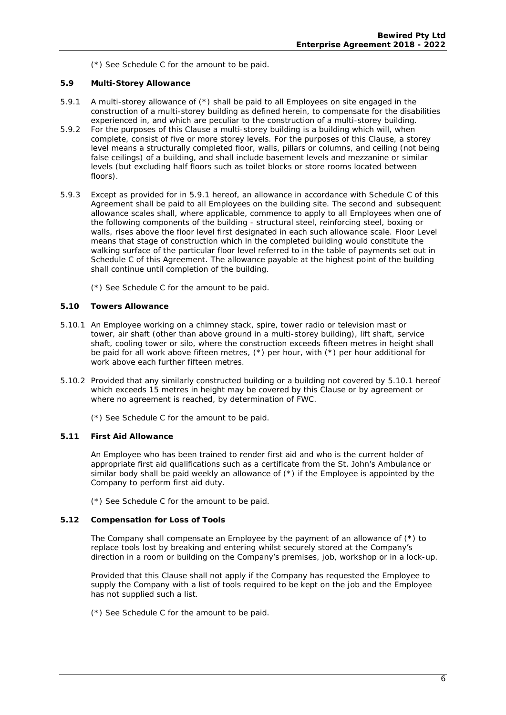(\*) See Schedule C for the amount to be paid.

- **5.9 Multi-Storey Allowance**
- 5.9.1A multi-storey allowance of (\*) shall be paid to all Employees on site engaged in the construction of a multi-storey building as defined herein, to compensate for the disabilities experienced in, and which are peculiar to the construction of a multi-storey building.
- 5.9.2For the purposes of this Clause a multi-storey building is a building which will, when complete, consist of five or more storey levels. For the purposes of this Clause, a storey level means a structurally completed floor, walls, pillars or columns, and ceiling (not being false ceilings) of a building, and shall include basement levels and mezzanine or similar levels (but excluding half floors such as toilet blocks or store rooms located between floors).
- 5.9.3 Except as provided for in 5.9.1 hereof, an allowance in accordance with Schedule C of this Agreement shall be paid to all Employees on the building site. The second and subsequent allowance scales shall, where applicable, commence to apply to all Employees when one of the following components of the building - structural steel, reinforcing steel, boxing or walls, rises above the floor level first designated in each such allowance scale. Floor Level means that stage of construction which in the completed building would constitute the walking surface of the particular floor level referred to in the table of payments set out in Schedule C of this Agreement. The allowance payable at the highest point of the building shall continue until completion of the building.
	- (\*) See Schedule C for the amount to be paid.
- **5.10 Towers Allowance**
- 5.10.1 An Employee working on a chimney stack, spire, tower radio or television mast or tower, air shaft (other than above ground in a multi-storey building), lift shaft, service shaft, cooling tower or silo, where the construction exceeds fifteen metres in height shall be paid for all work above fifteen metres,  $(*)$  per hour, with  $(*)$  per hour additional for work above each further fifteen metres.
- 5.10.2 Provided that any similarly constructed building or a building not covered by 5.10.1 hereof which exceeds 15 metres in height may be covered by this Clause or by agreement or where no agreement is reached, by determination of FWC.

(\*) See Schedule C for the amount to be paid.

#### **5.11 First Aid Allowance**

An Employee who has been trained to render first aid and who is the current holder of appropriate first aid qualifications such as a certificate from the St. John's Ambulance or similar body shall be paid weekly an allowance of (\*) if the Employee is appointed by the Company to perform first aid duty.

(\*) See Schedule C for the amount to be paid.

#### **5.12 Compensation for Loss of Tools**

The Company shall compensate an Employee by the payment of an allowance of  $(*)$  to replace tools lost by breaking and entering whilst securely stored at the Company's direction in a room or building on the **Company'**s premises, job, workshop or in a lock-up.

Provided that this Clause shall not apply if the Company has requested the Employee to supply the Company with a list of tools required to be kept on the job and the Employee has not supplied such a list.

(\*) See Schedule C for the amount to be paid.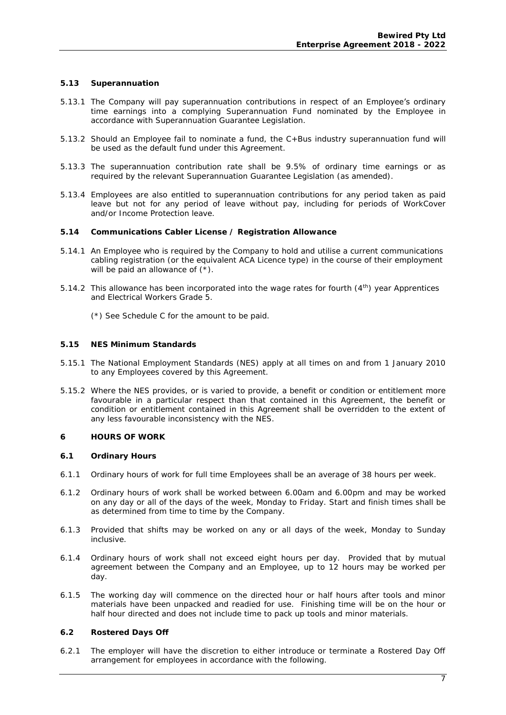#### **5.13 Superannuation**

- 5.13.1 The Company will pay superannuation contributions in respect of an Employee's ordinary time earnings into a complying Superannuation Fund nominated by the Employee in accordance with Superannuation Guarantee Legislation.
- 5.13.2 Should an Employee fail to nominate a fund, the C+Bus industry superannuation fund will be used as the default fund under this Agreement.
- 5.13.3 The superannuation contribution rate shall be 9.5% of ordinary time earnings or as required by the relevant Superannuation Guarantee Legislation (as amended).
- 5.13.4 Employees are also entitled to superannuation contributions for any period taken as paid leave but not for any period of leave without pay, including for periods of WorkCover and/or Income Protection leave.
- **5.14 Communications Cabler License / Registration Allowance**
- 5.14.1 An Employee who is required by the Company to hold and utilise a current communications cabling registration (or the equivalent ACA Licence type) in the course of their employment will be paid an allowance of  $(*)$ .
- 5.14.2 This allowance has been incorporated into the wage rates for fourth (4th) year Apprentices and Electrical Workers Grade 5.
	- (\*) See Schedule C for the amount to be paid.
- **5.15 NES Minimum Standards**
- 5.15.1 The National Employment Standards (NES) apply at all times on and from 1 January 2010 to any Employees covered by this Agreement.
- 5.15.2 Where the NES provides, or is varied to provide, a benefit or condition or entitlement more favourable in a particular respect than that contained in this Agreement, the benefit or condition or entitlement contained in this Agreement shall be overridden to the extent of any less favourable inconsistency with the NES.
- **6 HOURS OF WORK**
- **6.1 Ordinary Hours**
- 6.1.1 Ordinary hours of work for full time Employees shall be an average of 38 hours per week.
- 6.1.2 Ordinary hours of work shall be worked between 6.00am and 6.00pm and may be worked on any day or all of the days of the week, Monday to Friday. Start and finish times shall be as determined from time to time by the Company.
- 6.1.3 Provided that shifts may be worked on any or all days of the week, Monday to Sunday inclusive.
- 6.1.4 Ordinary hours of work shall not exceed eight hours per day. Provided that by mutual agreement between the Company and an Employee, up to 12 hours may be worked per day.
- 6.1.5 The working day will commence on the directed hour or half hours after tools and minor materials have been unpacked and readied for use. Finishing time will be on the hour or half hour directed and does not include time to pack up tools and minor materials.
- **6.2 Rostered Days Off**
- 6.2.1 The employer will have the discretion to either introduce or terminate a Rostered Day Off arrangement for employees in accordance with the following.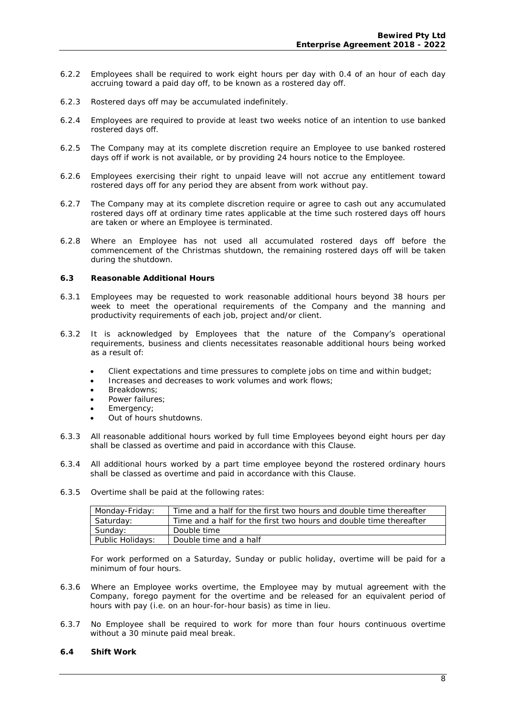- 6.2.2 Employees shall be required to work eight hours per day with 0.4 of an hour of each day accruing toward a paid day off, to be known as a rostered day off.
- 6.2.3 Rostered days off may be accumulated indefinitely.
- 6.2.4 Employees are required to provide at least two weeks notice of an intention to use banked rostered days off.
- 6.2.5 The Company may at its complete discretion require an Employee to use banked rostered days off if work is not available, or by providing 24 hours notice to the Employee.
- 6.2.6 Employees exercising their right to unpaid leave will not accrue any entitlement toward rostered days off for any period they are absent from work without pay.
- 6.2.7 The Company may at its complete discretion require or agree to cash out any accumulated rostered days off at ordinary time rates applicable at the time such rostered days off hours are taken or where an Employee is terminated.
- 6.2.8 Where an Employee has not used all accumulated rostered days off before the commencement of the Christmas shutdown, the remaining rostered days off will be taken during the shutdown.
- **6.3 Reasonable Additional Hours**
- 6.3.1 Employees may be requested to work reasonable additional hours beyond 38 hours per week to meet the operational requirements of the Company and the manning and productivity requirements of each job, project and/or client.
- 6.3.2 It is acknowledged by Employees that the nature of the Company's operational requirements, business and clients necessitates reasonable additional hours being worked as a result of:
	- Client expectations and time pressures to complete jobs on time and within budget;
	- Increases and decreases to work volumes and work flows;
	- Breakdowns:
	- Power failures;
	- Emergency;
	- Out of hours shutdowns.
- 6.3.3 All reasonable additional hours worked by full time Employees beyond eight hours per day shall be classed as overtime and paid in accordance with this Clause.
- 6.3.4 All additional hours worked by a part time employee beyond the rostered ordinary hours shall be classed as overtime and paid in accordance with this Clause.
- 6.3.5 Overtime shall be paid at the following rates:

| Monday-Friday:   | Time and a half for the first two hours and double time thereafter |
|------------------|--------------------------------------------------------------------|
| Saturday:        | Time and a half for the first two hours and double time thereafter |
| Sunday:          | Double time                                                        |
| Public Holidays: | Double time and a half                                             |

 For work performed on a Saturday, Sunday or public holiday, overtime will be paid for a minimum of four hours.

- 6.3.6 Where an Employee works overtime, the Employee may by mutual agreement with the Company, forego payment for the overtime and be released for an equivalent period of hours with pay (i.e. on an hour-for-hour basis) as time in lieu.
- 6.3.7 No Employee shall be required to work for more than four hours continuous overtime without a 30 minute paid meal break.
- **6.4 Shift Work**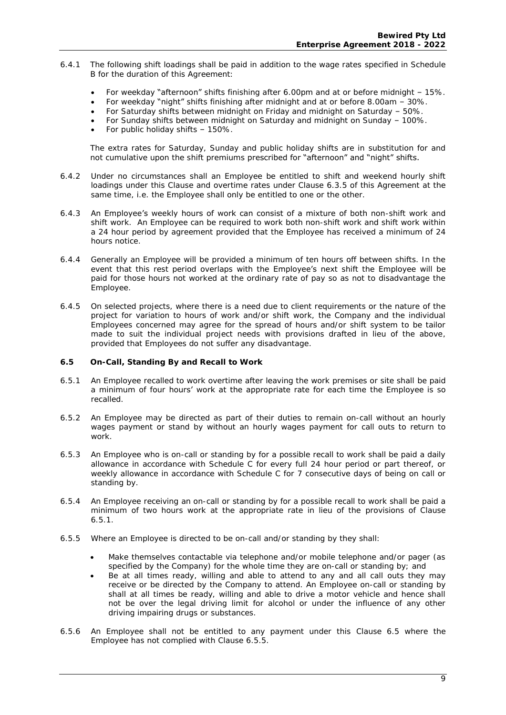- 6.4.1 The following shift loadings shall be paid in addition to the wage rates specified in Schedule B for the duration of this Agreement:
	- For weekday "afternoon" shifts finishing after 6.00pm and at or before midnight 15%.
	- For weekday "night" shifts finishing after midnight and at or before 8.00am 30%.
	- For Saturday shifts between midnight on Friday and midnight on Saturday 50%.
	- For Sunday shifts between midnight on Saturday and midnight on Sunday 100%.
	- For public holiday shifts 150%.

The extra rates for Saturday, Sunday and public holiday shifts are in substitution for and not cumulative upon the shift premiums prescribed for "afternoon" and "night" shifts.

- 6.4.2 Under no circumstances shall an Employee be entitled to shift and weekend hourly shift loadings under this Clause and overtime rates under Clause 6.3.5 of this Agreement at the same time, i.e. the Employee shall only be entitled to one or the other.
- 6.4.3 An Employee's weekly hours of work can consist of a mixture of both non-shift work and shift work. An Employee can be required to work both non-shift work and shift work within a 24 hour period by agreement provided that the Employee has received a minimum of 24 hours notice.
- 6.4.4 Generally an Employee will be provided a minimum of ten hours off between shifts. In the event that this rest period overlaps with the **Employee's** next shift the Employee will be paid for those hours not worked at the ordinary rate of pay so as not to disadvantage the Employee.
- 6.4.5 On selected projects, where there is a need due to client requirements or the nature of the project for variation to hours of work and/or shift work, the Company and the individual Employees concerned may agree for the spread of hours and/or shift system to be tailor made to suit the individual project needs with provisions drafted in lieu of the above, provided that Employees do not suffer any disadvantage.
- **6.5 On-Call, Standing By and Recall to Work**
- 6.5.1 An Employee recalled to work overtime after leaving the work premises or site shall be paid a minimum of four hours' work at the appropriate rate for each time the Employee is so recalled.
- 6.5.2 An Employee may be directed as part of their duties to remain on-call without an hourly wages payment or stand by without an hourly wages payment for call outs to return to work.
- 6.5.3 An Employee who is on-call or standing by for a possible recall to work shall be paid a daily allowance in accordance with Schedule C for every full 24 hour period or part thereof, or weekly allowance in accordance with Schedule C for 7 consecutive days of being on call or standing by.
- 6.5.4 An Employee receiving an on-call or standing by for a possible recall to work shall be paid a minimum of two hours work at the appropriate rate in lieu of the provisions of Clause 6.5.1.
- 6.5.5 Where an Employee is directed to be on-call and/or standing by they shall:
	- Make themselves contactable via telephone and/or mobile telephone and/or pager (as specified by the Company) for the whole time they are on-call or standing by; and
	- Be at all times ready, willing and able to attend to any and all call outs they may receive or be directed by the Company to attend. An Employee on-call or standing by shall at all times be ready, willing and able to drive a motor vehicle and hence shall not be over the legal driving limit for alcohol or under the influence of any other driving impairing drugs or substances.
- 6.5.6 An Employee shall not be entitled to any payment under this Clause 6.5 where the Employee has not complied with Clause 6.5.5.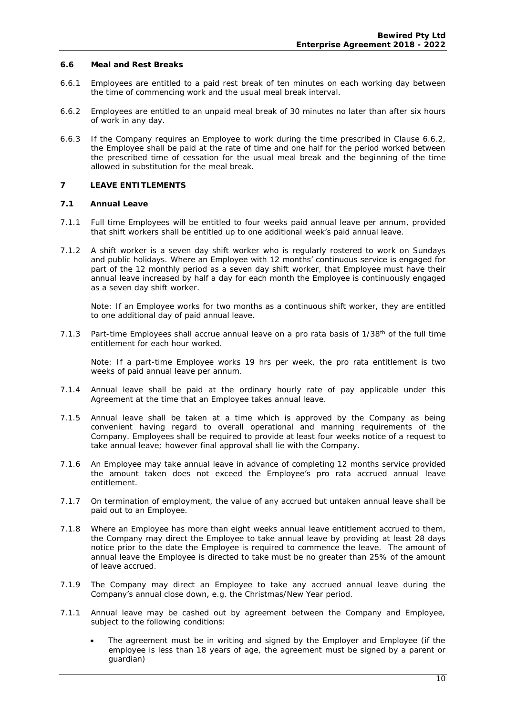#### **6.6 Meal and Rest Breaks**

- 6.6.1 Employees are entitled to a paid rest break of ten minutes on each working day between the time of commencing work and the usual meal break interval.
- 6.6.2 Employees are entitled to an unpaid meal break of 30 minutes no later than after six hours of work in any day.
- 6.6.3 If the Company requires an Employee to work during the time prescribed in Clause 6.6.2, the Employee shall be paid at the rate of time and one half for the period worked between the prescribed time of cessation for the usual meal break and the beginning of the time allowed in substitution for the meal break.

#### **7 LEAVE ENTITLEMENTS**

- **7.1 Annual Leave**
- 7.1.1 Full time Employees will be entitled to four weeks paid annual leave per annum, provided that shift workers shall be entitled up to one additional week's paid annual leave.
- 7.1.2 A shift worker is a seven day shift worker who is regularly rostered to work on Sundays and public holidays. Where an Employee with 12 months' continuous service is engaged for part of the 12 monthly period as a seven day shift worker, that Employee must have their annual leave increased by half a day for each month the Employee is continuously engaged as a seven day shift worker.

*Note: If an Employee works for two months as a continuous shift worker, they are entitled to one additional day of paid annual leave.* 

7.1.3 Part-time Employees shall accrue annual leave on a *pro rata* basis of 1/38th of the full time entitlement for each hour worked.

*Note: If a part-time Employee works 19 hrs per week, the pro rata entitlement is two weeks of paid annual leave per annum.* 

- 7.1.4 Annual leave shall be paid at the ordinary hourly rate of pay applicable under this Agreement at the time that an Employee takes annual leave.
- 7.1.5 Annual leave shall be taken at a time which is approved by the Company as being convenient having regard to overall operational and manning requirements of the Company. Employees shall be required to provide at least four weeks notice of a request to take annual leave; however final approval shall lie with the Company.
- 7.1.6 An Employee may take annual leave in advance of completing 12 months service provided the amount taken does not exceed the Employee's pro rata accrued annual leave entitlement.
- 7.1.7 On termination of employment, the value of any accrued but untaken annual leave shall be paid out to an Employee.
- 7.1.8 Where an Employee has more than eight weeks annual leave entitlement accrued to them, the Company may direct the Employee to take annual leave by providing at least 28 days notice prior to the date the Employee is required to commence the leave. The amount of annual leave the Employee is directed to take must be no greater than 25% of the amount of leave accrued.
- 7.1.9 The Company may direct an Employee to take any accrued annual leave during the Company's annual close down, e.g. the Christmas/New Year period.
- 7.1.1 Annual leave may be cashed out by agreement between the Company and Employee, subject to the following conditions:
	- The agreement must be in writing and signed by the Employer and Employee (if the employee is less than 18 years of age, the agreement must be signed by a parent or guardian)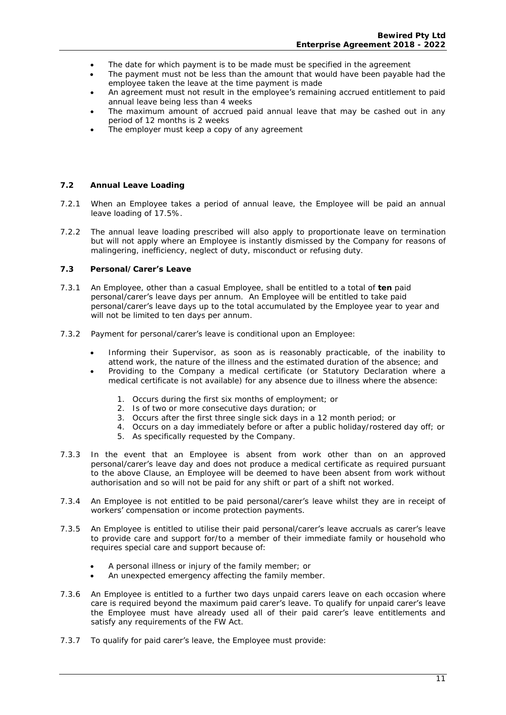- The date for which payment is to be made must be specified in the agreement
- The payment must not be less than the amount that would have been payable had the employee taken the leave at the time payment is made
- An agreement must not result in the employee's remaining accrued entitlement to paid annual leave being less than 4 weeks
- The maximum amount of accrued paid annual leave that may be cashed out in any period of 12 months is 2 weeks
- The employer must keep a copy of any agreement

#### **7.2 Annual Leave Loading**

- 7.2.1 When an Employee takes a period of annual leave, the Employee will be paid an annual leave loading of 17.5%.
- 7.2.2 The annual leave loading prescribed will also apply to proportionate leave on termination but will not apply where an Employee is instantly dismissed by the Company for reasons of malingering, inefficiency, neglect of duty, misconduct or refusing duty.
- **7.3 Personal/Carer's Leave**
- 7.3.1 An Employee, other than a casual Employee, shall be entitled to a total of **ten** paid personal/carer's leave days per annum. An Employee will be entitled to take paid personal/carer's leave days up to the total accumulated by the Employee year to year and will not be limited to ten days per annum.
- 7.3.2 Payment for personal/carer's leave is conditional upon an Employee:
	- Informing their Supervisor, as soon as is reasonably practicable, of the inability to attend work, the nature of the illness and the estimated duration of the absence; and
	- Providing to the Company a medical certificate (or Statutory Declaration where a medical certificate is not available) for any absence due to illness where the absence:
		- 1. Occurs during the first six months of employment; or
		- 2. Is of two or more consecutive days duration; or
		- 3. Occurs after the first three single sick days in a 12 month period; or
		- 4. Occurs on a day immediately before or after a public holiday/rostered day off; or
			- 5. As specifically requested by the Company.
- 7.3.3 In the event that an Employee is absent from work other than on an approved personal/carer's leave day and does not produce a medical certificate as required pursuant to the above Clause, an Employee will be deemed to have been absent from work without authorisation and so will not be paid for any shift or part of a shift not worked.
- 7.3.4 An Employee is not entitled to be paid personal/carer's leave whilst they are in receipt of workers' compensation or income protection payments.
- 7.3.5 An Employee is entitled to utilise their paid personal/carer's leave accruals as carer's leave to provide care and support for/to a member of their immediate family or household who requires special care and support because of:
	- A personal illness or injury of the family member; or
	- An unexpected emergency affecting the family member.
- 7.3.6 An Employee is entitled to a further two days unpaid carers leave on each occasion where care is required beyond the maximum paid carer's leave. To qualify for unpaid carer's leave the Employee must have already used all of their paid carer's leave entitlements and satisfy any requirements of the FW Act.
- 7.3.7 To qualify for paid carer's leave, the Employee must provide: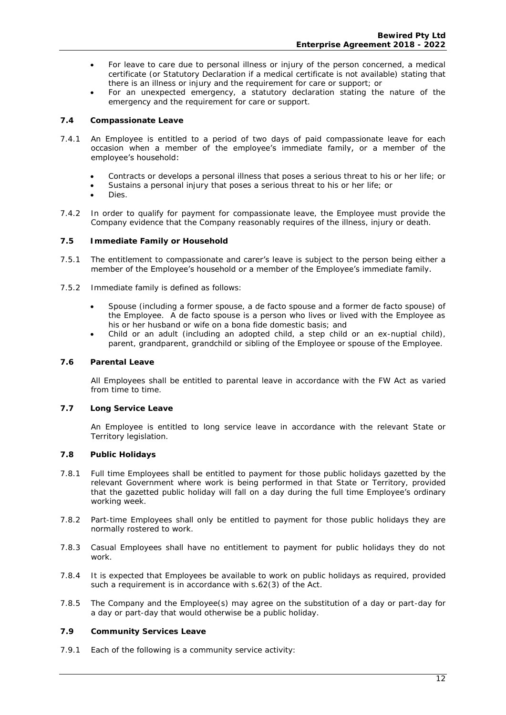- For leave to care due to personal illness or injury of the person concerned, a medical certificate (or Statutory Declaration if a medical certificate is not available) stating that there is an illness or injury and the requirement for care or support; or
- For an unexpected emergency, a statutory declaration stating the nature of the emergency and the requirement for care or support.

#### **7.4 Compassionate Leave**

- 7.4.1 An Employee is entitled to a period of two days of paid compassionate leave for each occasion when a member of the employee's immediate family, or a member of the employee's household:
	- Contracts or develops a personal illness that poses a serious threat to his or her life; or
	- Sustains a personal injury that poses a serious threat to his or her life; or
	- Dies.
- 7.4.2 In order to qualify for payment for compassionate leave, the Employee must provide the Company evidence that the Company reasonably requires of the illness, injury or death.
- **7.5 Immediate Family or Household**
- 7.5.1 The entitlement to compassionate and carer's leave is subject to the person being either a member of the Employee's household or a member of the Employee's immediate family.
- 7.5.2 Immediate family is defined as follows:
	- Spouse (including a former spouse, a de facto spouse and a former de facto spouse) of the Employee. A de facto spouse is a person who lives or lived with the Employee as his or her husband or wife on a *bona fide* domestic basis; and
	- Child or an adult (including an adopted child, a step child or an ex-nuptial child), parent, grandparent, grandchild or sibling of the Employee or spouse of the Employee.
- **7.6 Parental Leave**

 All Employees shall be entitled to parental leave in accordance with the FW Act as varied from time to time.

**7.7 Long Service Leave** 

 An Employee is entitled to long service leave in accordance with the relevant State or Territory legislation.

- **7.8 Public Holidays**
- 7.8.1 Full time Employees shall be entitled to payment for those public holidays gazetted by the relevant Government where work is being performed in that State or Territory, provided that the gazetted public holiday will fall on a day during the full time Employee's ordinary working week.
- 7.8.2 Part-time Employees shall only be entitled to payment for those public holidays they are normally rostered to work.
- 7.8.3 Casual Employees shall have no entitlement to payment for public holidays they do not work.
- 7.8.4 It is expected that Employees be available to work on public holidays as required, provided such a requirement is in accordance with s.62(3) of the Act.
- 7.8.5 The Company and the Employee(s) may agree on the substitution of a day or part-day for a day or part-day that would otherwise be a public holiday.
- **7.9 Community Services Leave**
- 7.9.1 Each of the following is a community service activity: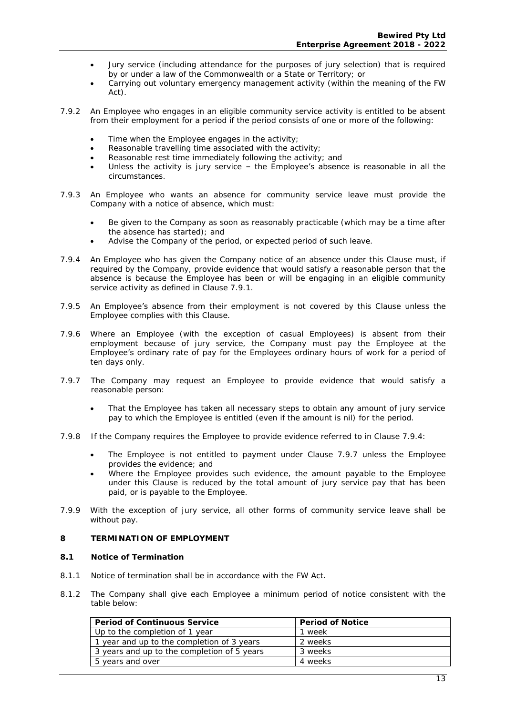- Jury service (including attendance for the purposes of jury selection) that is required by or under a law of the Commonwealth or a State or Territory; or
- Carrying out voluntary emergency management activity (within the meaning of the FW Act).
- 7.9.2 An Employee who engages in an eligible community service activity is entitled to be absent from their employment for a period if the period consists of one or more of the following:
	- Time when the Employee engages in the activity;
	- Reasonable travelling time associated with the activity;
	- Reasonable rest time immediately following the activity; and
	- Unless the activity is jury service the Employee's absence is reasonable in all the circumstances.
- 7.9.3 An Employee who wants an absence for community service leave must provide the Company with a notice of absence, which must:
	- Be given to the Company as soon as reasonably practicable (which may be a time after the absence has started); and
	- Advise the Company of the period, or expected period of such leave.
- 7.9.4 An Employee who has given the Company notice of an absence under this Clause must, if required by the Company, provide evidence that would satisfy a reasonable person that the absence is because the Employee has been or will be engaging in an eligible community service activity as defined in Clause 7.9.1.
- 7.9.5 An Employee's absence from their employment is not covered by this Clause unless the Employee complies with this Clause.
- 7.9.6 Where an Employee (with the exception of casual Employees) is absent from their employment because of jury service, the Company must pay the Employee at the Employee's ordinary rate of pay for the Employees ordinary hours of work for a period of ten days only.
- 7.9.7 The Company may request an Employee to provide evidence that would satisfy a reasonable person:
	- That the Employee has taken all necessary steps to obtain any amount of jury service pay to which the Employee is entitled (even if the amount is nil) for the period.
- 7.9.8 If the Company requires the Employee to provide evidence referred to in Clause 7.9.4:
	- The Employee is not entitled to payment under Clause 7.9.7 unless the Employee provides the evidence; and
	- Where the Employee provides such evidence, the amount payable to the Employee under this Clause is reduced by the total amount of jury service pay that has been paid, or is payable to the Employee.
- 7.9.9 With the exception of jury service, all other forms of community service leave shall be without pay.
- **8 TERMINATION OF EMPLOYMENT**
- **8.1 Notice of Termination**
- 8.1.1 Notice of termination shall be in accordance with the FW Act.
- 8.1.2 The Company shall give each Employee a minimum period of notice consistent with the table below:

| Period of Continuous Service                | Period of Notice |
|---------------------------------------------|------------------|
| Up to the completion of 1 year              | week             |
| 1 year and up to the completion of 3 years  | 2 weeks          |
| 3 years and up to the completion of 5 years | 3 weeks          |
| 5 years and over                            | 4 weeks          |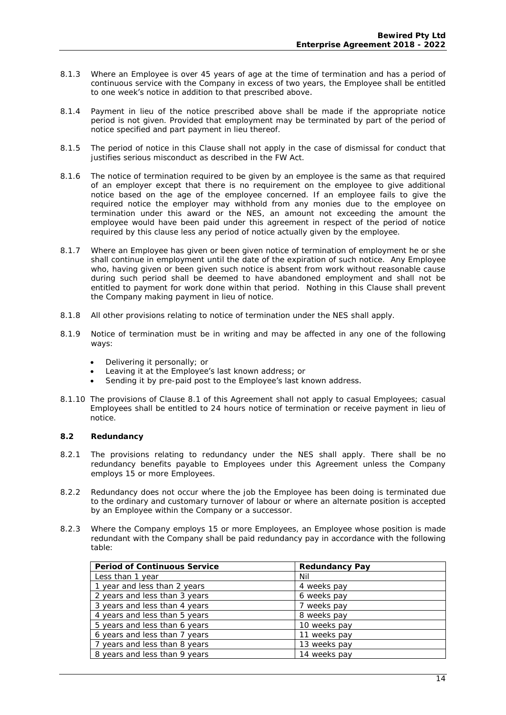- 8.1.3 Where an Employee is over 45 years of age at the time of termination and has a period of continuous service with the Company in excess of two years, the Employee shall be entitled to one week's notice in addition to that prescribed above.
- 8.1.4 Payment in lieu of the notice prescribed above shall be made if the appropriate notice period is not given. Provided that employment may be terminated by part of the period of notice specified and part payment in lieu thereof.
- 8.1.5 The period of notice in this Clause shall not apply in the case of dismissal for conduct that justifies serious misconduct as described in the FW Act.
- 8.1.6 The notice of termination required to be given by an employee is the same as that required of an employer except that there is no requirement on the employee to give additional notice based on the age of the employee concerned. If an employee fails to give the required notice the employer may withhold from any monies due to the employee on termination under this award or the NES, an amount not exceeding the amount the employee would have been paid under this agreement in respect of the period of notice required by this clause less any period of notice actually given by the employee.
- 8.1.7 Where an Employee has given or been given notice of termination of employment he or she shall continue in employment until the date of the expiration of such notice. Any Employee who, having given or been given such notice is absent from work without reasonable cause during such period shall be deemed to have abandoned employment and shall not be entitled to payment for work done within that period. Nothing in this Clause shall prevent the Company making payment in lieu of notice.
- 8.1.8 All other provisions relating to notice of termination under the NES shall apply.
- 8.1.9 Notice of termination must be in writing and may be affected in any one of the following ways:
	- Delivering it personally; or
	- Leaving it at the Employee's last known address; or
	- Sending it by pre-paid post to the Employee's last known address.
- 8.1.10 The provisions of Clause 8.1 of this Agreement shall not apply to casual Employees; casual Employees shall be entitled to 24 hours notice of termination or receive payment in lieu of notice.
- **8.2 Redundancy**
- 8.2.1 The provisions relating to redundancy under the NES shall apply. There shall be no redundancy benefits payable to Employees under this Agreement unless the Company employs 15 or more Employees.
- 8.2.2 Redundancy does not occur where the job the Employee has been doing is terminated due to the ordinary and customary turnover of labour or where an alternate position is accepted by an Employee within the Company or a successor.
- 8.2.3 Where the Company employs 15 or more Employees, an Employee whose position is made redundant with the Company shall be paid redundancy pay in accordance with the following table:

| Period of Continuous Service  | Redundancy Pay |
|-------------------------------|----------------|
| Less than 1 year              | Nil            |
| 1 year and less than 2 years  | 4 weeks pay    |
| 2 years and less than 3 years | 6 weeks pay    |
| 3 years and less than 4 years | 7 weeks pay    |
| 4 years and less than 5 years | 8 weeks pay    |
| 5 years and less than 6 years | 10 weeks pay   |
| 6 years and less than 7 years | 11 weeks pay   |
| 7 years and less than 8 years | 13 weeks pay   |
| 8 years and less than 9 years | 14 weeks pay   |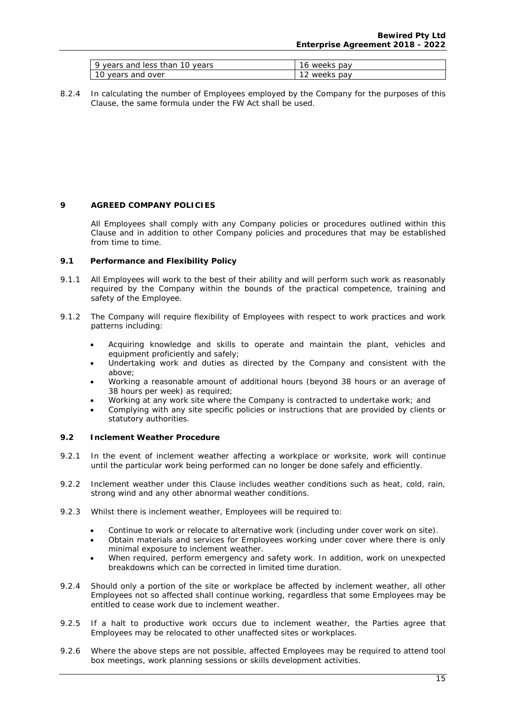| vears and less than 10 years | ks pav<br>weeks |
|------------------------------|-----------------|
| rs and over <sup>.</sup>     | 's pav          |
| vear                         | weeks           |

8.2.4 In calculating the number of Employees employed by the Company for the purposes of this Clause, the same formula under the FW Act shall be used.

#### **9 AGREED COMPANY POLICIES**

All Employees shall comply with any Company policies or procedures outlined within this Clause and in addition to other Company policies and procedures that may be established from time to time.

- **9.1 Performance and Flexibility Policy**
- 9.1.1 All Employees will work to the best of their ability and will perform such work as reasonably required by the Company within the bounds of the practical competence, training and safety of the Employee.
- 9.1.2 The Company will require flexibility of Employees with respect to work practices and work patterns including:
	- Acquiring knowledge and skills to operate and maintain the plant, vehicles and equipment proficiently and safely;
	- Undertaking work and duties as directed by the Company and consistent with the above;
	- Working a reasonable amount of additional hours (beyond 38 hours or an average of 38 hours per week) as required;
	- Working at any work site where the Company is contracted to undertake work; and
	- Complying with any site specific policies or instructions that are provided by clients or statutory authorities.
- **9.2 Inclement Weather Procedure**
- 9.2.1 In the event of inclement weather affecting a workplace or worksite, work will continue until the particular work being performed can no longer be done safely and efficiently.
- 9.2.2 Inclement weather under this Clause includes weather conditions such as heat, cold, rain, strong wind and any other abnormal weather conditions.
- 9.2.3 Whilst there is inclement weather, Employees will be required to:
	- Continue to work or relocate to alternative work (including under cover work on site).
	- Obtain materials and services for Employees working under cover where there is only minimal exposure to inclement weather.
	- When required, perform emergency and safety work. In addition, work on unexpected breakdowns which can be corrected in limited time duration.
- 9.2.4 Should only a portion of the site or workplace be affected by inclement weather, all other Employees not so affected shall continue working, regardless that some Employees may be entitled to cease work due to inclement weather.
- 9.2.5 If a halt to productive work occurs due to inclement weather, the Parties agree that Employees may be relocated to other unaffected sites or workplaces.
- 9.2.6 Where the above steps are not possible, affected Employees may be required to attend tool box meetings, work planning sessions or skills development activities.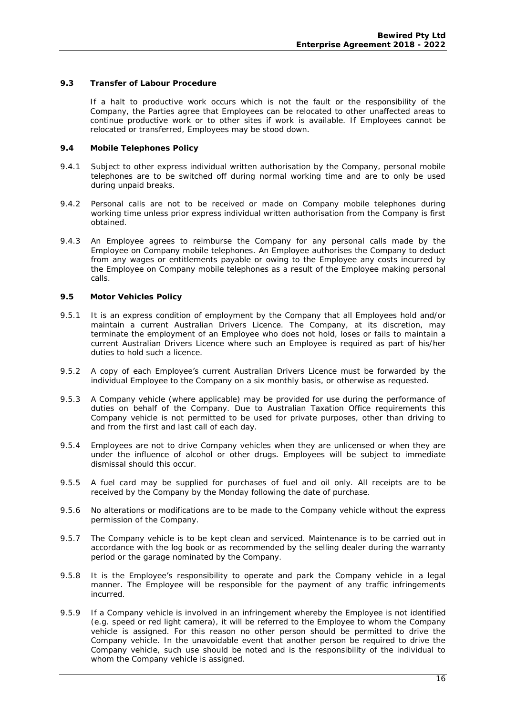**9.3 Transfer of Labour Procedure** 

If a halt to productive work occurs which is not the fault or the responsibility of the Company, the Parties agree that Employees can be relocated to other unaffected areas to continue productive work or to other sites if work is available. If Employees cannot be relocated or transferred, Employees may be stood down.

- **9.4 Mobile Telephones Policy**
- 9.4.1 Subject to other express individual written authorisation by the Company, personal mobile telephones are to be switched off during normal working time and are to only be used during unpaid breaks.
- 9.4.2 Personal calls are not to be received or made on Company mobile telephones during working time unless prior express individual written authorisation from the Company is first obtained.
- 9.4.3 An Employee agrees to reimburse the Company for any personal calls made by the Employee on Company mobile telephones. An Employee authorises the Company to deduct from any wages or entitlements payable or owing to the Employee any costs incurred by the Employee on Company mobile telephones as a result of the Employee making personal calls.
- **9.5 Motor Vehicles Policy**
- 9.5.1 It is an express condition of employment by the Company that all Employees hold and/or maintain a current Australian Drivers Licence. The Company, at its discretion, may terminate the employment of an Employee who does not hold, loses or fails to maintain a current Australian Drivers Licence where such an Employee is required as part of his/her duties to hold such a licence.
- 9.5.2 A copy of each Employee's current Australian Drivers Licence must be forwarded by the individual Employee to the Company on a six monthly basis, or otherwise as requested.
- 9.5.3 A Company vehicle (where applicable) may be provided for use during the performance of duties on behalf of the Company. Due to Australian Taxation Office requirements this Company vehicle is not permitted to be used for private purposes, other than driving to and from the first and last call of each day.
- 9.5.4 Employees are not to drive Company vehicles when they are unlicensed or when they are under the influence of alcohol or other drugs. Employees will be subject to immediate dismissal should this occur.
- 9.5.5 A fuel card may be supplied for purchases of fuel and oil only. All receipts are to be received by the Company by the Monday following the date of purchase.
- 9.5.6 No alterations or modifications are to be made to the Company vehicle without the express permission of the Company.
- 9.5.7 The Company vehicle is to be kept clean and serviced. Maintenance is to be carried out in accordance with the log book or as recommended by the selling dealer during the warranty period or the garage nominated by the Company.
- 9.5.8 It is the Employee's responsibility to operate and park the Company vehicle in a legal manner. The Employee will be responsible for the payment of any traffic infringements incurred.
- 9.5.9 If a Company vehicle is involved in an infringement whereby the Employee is not identified (e.g. speed or red light camera), it will be referred to the Employee to whom the Company vehicle is assigned. For this reason no other person should be permitted to drive the Company vehicle. In the unavoidable event that another person be required to drive the Company vehicle, such use should be noted and is the responsibility of the individual to whom the Company vehicle is assigned.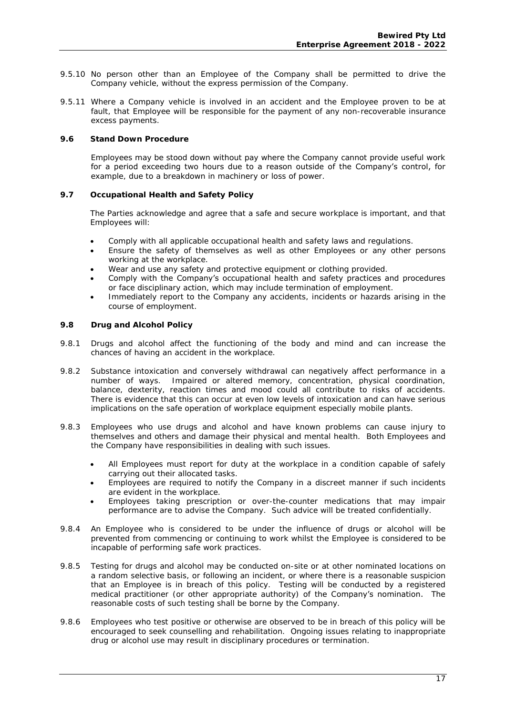- 9.5.10 No person other than an Employee of the Company shall be permitted to drive the Company vehicle, without the express permission of the Company.
- 9.5.11 Where a Company vehicle is involved in an accident and the Employee proven to be at fault, that Employee will be responsible for the payment of any non-recoverable insurance excess payments.
- **9.6 Stand Down Procedure**

Employees may be stood down without pay where the Company cannot provide useful work for a period exceeding two hours due to a reason outside of the Company's control, for example, due to a breakdown in machinery or loss of power.

**9.7 Occupational Health and Safety Policy** 

 The Parties acknowledge and agree that a safe and secure workplace is important, and that Employees will:

- Comply with all applicable occupational health and safety laws and regulations.
- Ensure the safety of themselves as well as other Employees or any other persons working at the workplace.
- Wear and use any safety and protective equipment or clothing provided.
- Comply with the Company's occupational health and safety practices and procedures or face disciplinary action, which may include termination of employment.
- Immediately report to the Company any accidents, incidents or hazards arising in the course of employment.
- **9.8 Drug and Alcohol Policy**
- 9.8.1 Drugs and alcohol affect the functioning of the body and mind and can increase the chances of having an accident in the workplace.
- 9.8.2 Substance intoxication and conversely withdrawal can negatively affect performance in a number of ways. Impaired or altered memory, concentration, physical coordination, balance, dexterity, reaction times and mood could all contribute to risks of accidents. There is evidence that this can occur at even low levels of intoxication and can have serious implications on the safe operation of workplace equipment especially mobile plants.
- 9.8.3 Employees who use drugs and alcohol and have known problems can cause injury to themselves and others and damage their physical and mental health. Both Employees and the Company have responsibilities in dealing with such issues.
	- All Employees must report for duty at the workplace in a condition capable of safely carrying out their allocated tasks.
	- Employees are required to notify the Company in a discreet manner if such incidents are evident in the workplace.
	- Employees taking prescription or over-the-counter medications that may impair performance are to advise the Company. Such advice will be treated confidentially.
- 9.8.4 An Employee who is considered to be under the influence of drugs or alcohol will be prevented from commencing or continuing to work whilst the Employee is considered to be incapable of performing safe work practices.
- 9.8.5 Testing for drugs and alcohol may be conducted on-site or at other nominated locations on a random selective basis, or following an incident, or where there is a reasonable suspicion that an Employee is in breach of this policy. Testing will be conducted by a registered medical practitioner (or other appropriate authority) of the Company's nomination. The reasonable costs of such testing shall be borne by the Company.
- 9.8.6 Employees who test positive or otherwise are observed to be in breach of this policy will be encouraged to seek counselling and rehabilitation. Ongoing issues relating to inappropriate drug or alcohol use may result in disciplinary procedures or termination.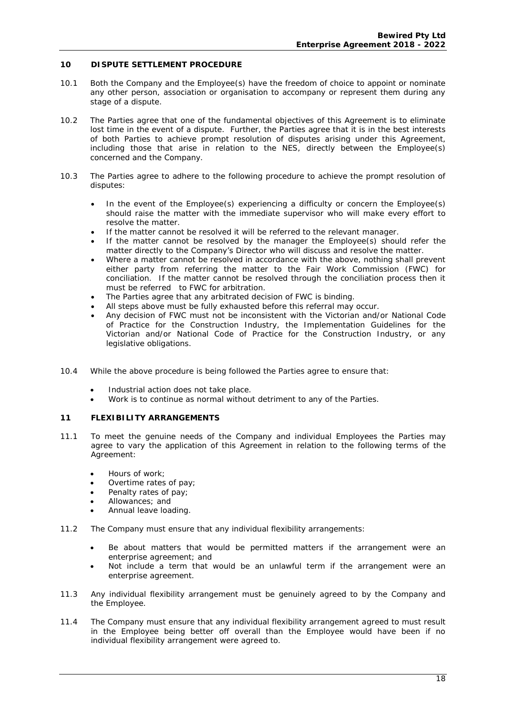#### **10 DISPUTE SETTLEMENT PROCEDURE**

- 10.1 Both the Company and the Employee(s) have the freedom of choice to appoint or nominate any other person, association or organisation to accompany or represent them during any stage of a dispute.
- 10.2 The Parties agree that one of the fundamental objectives of this Agreement is to eliminate lost time in the event of a dispute. Further, the Parties agree that it is in the best interests of both Parties to achieve prompt resolution of disputes arising under this Agreement, including those that arise in relation to the NES, directly between the Employee(s) concerned and the Company.
- 10.3 The Parties agree to adhere to the following procedure to achieve the prompt resolution of disputes:
	- In the event of the Employee(s) experiencing a difficulty or concern the Employee(s) should raise the matter with the immediate supervisor who will make every effort to resolve the matter.
	- If the matter cannot be resolved it will be referred to the relevant manager.
	- If the matter cannot be resolved by the manager the Employee(s) should refer the matter directly to the Company's Director who will discuss and resolve the matter.
	- Where a matter cannot be resolved in accordance with the above, nothing shall prevent either party from referring the matter to the Fair Work Commission (FWC) for conciliation. If the matter cannot be resolved through the conciliation process then it must be referred to FWC for arbitration.
	- The Parties agree that any arbitrated decision of FWC is binding.
	- All steps above must be fully exhausted before this referral may occur.
	- Any decision of FWC must not be inconsistent with the Victorian and/or National Code of Practice for the Construction Industry, the Implementation Guidelines for the Victorian and/or National Code of Practice for the Construction Industry, or any legislative obligations.
- 10.4 While the above procedure is being followed the Parties agree to ensure that:
	- Industrial action does not take place.
	- Work is to continue as normal without detriment to any of the Parties.

#### **11 FLEXIBILITY ARRANGEMENTS**

- 11.1 To meet the genuine needs of the Company and individual Employees the Parties may agree to vary the application of this Agreement in relation to the following terms of the Agreement:
	- Hours of work;
	- Overtime rates of pay;
	- Penalty rates of pay;
	- Allowances; and
	- Annual leave loading.
- 11.2 The Company must ensure that any individual flexibility arrangements:
	- Be about matters that would be permitted matters if the arrangement were an enterprise agreement; and
	- Not include a term that would be an unlawful term if the arrangement were an enterprise agreement.
- 11.3 Any individual flexibility arrangement must be genuinely agreed to by the Company and the Employee.
- 11.4 The Company must ensure that any individual flexibility arrangement agreed to must result in the Employee being better off overall than the Employee would have been if no individual flexibility arrangement were agreed to.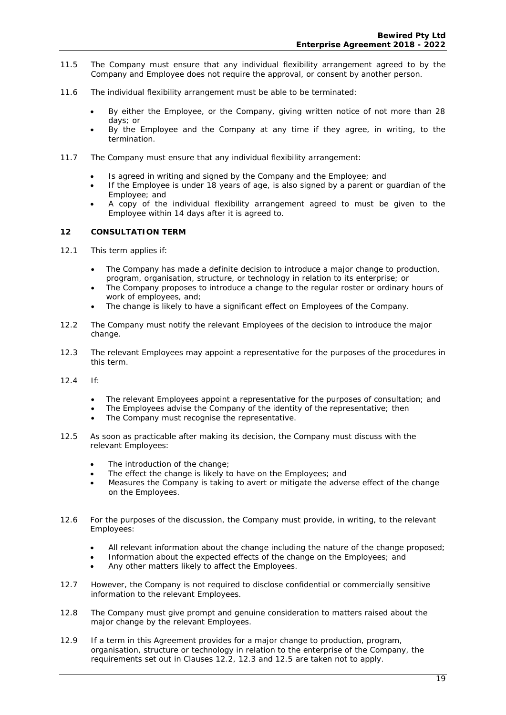- 11.5 The Company must ensure that any individual flexibility arrangement agreed to by the Company and Employee does not require the approval, or consent by another person.
- 11.6 The individual flexibility arrangement must be able to be terminated:
	- By either the Employee, or the Company, giving written notice of not more than 28 days; or
	- By the Employee and the Company at any time if they agree, in writing, to the termination.
- 11.7 The Company must ensure that any individual flexibility arrangement:
	- Is agreed in writing and signed by the Company and the Employee; and
	- If the Employee is under 18 years of age, is also signed by a parent or guardian of the Employee; and
	- A copy of the individual flexibility arrangement agreed to must be given to the Employee within 14 days after it is agreed to.

#### **12 CONSULTATION TERM**

- 12.1 This term applies if:
	- The Company has made a definite decision to introduce a major change to production, program, organisation, structure, or technology in relation to its enterprise; or
	- The Company proposes to introduce a change to the regular roster or ordinary hours of work of employees, and;
	- The change is likely to have a significant effect on Employees of the Company.
- 12.2 The Company must notify the relevant Employees of the decision to introduce the major change.
- 12.3 The relevant Employees may appoint a representative for the purposes of the procedures in this term.
- 12.4 If:
	- The relevant Employees appoint a representative for the purposes of consultation; and
	- The Employees advise the Company of the identity of the representative; then
	- The Company must recognise the representative.
- 12.5 As soon as practicable after making its decision, the Company must discuss with the relevant Employees:
	- The introduction of the change;
	- The effect the change is likely to have on the Employees; and
	- Measures the Company is taking to avert or mitigate the adverse effect of the change on the Employees.
- 12.6 For the purposes of the discussion, the Company must provide, in writing, to the relevant Employees:
	- All relevant information about the change including the nature of the change proposed;
	- Information about the expected effects of the change on the Employees; and
	- Any other matters likely to affect the Employees.
- 12.7 However, the Company is not required to disclose confidential or commercially sensitive information to the relevant Employees.
- 12.8 The Company must give prompt and genuine consideration to matters raised about the major change by the relevant Employees.
- 12.9 If a term in this Agreement provides for a major change to production, program, organisation, structure or technology in relation to the enterprise of the Company, the requirements set out in Clauses 12.2, 12.3 and 12.5 are taken not to apply.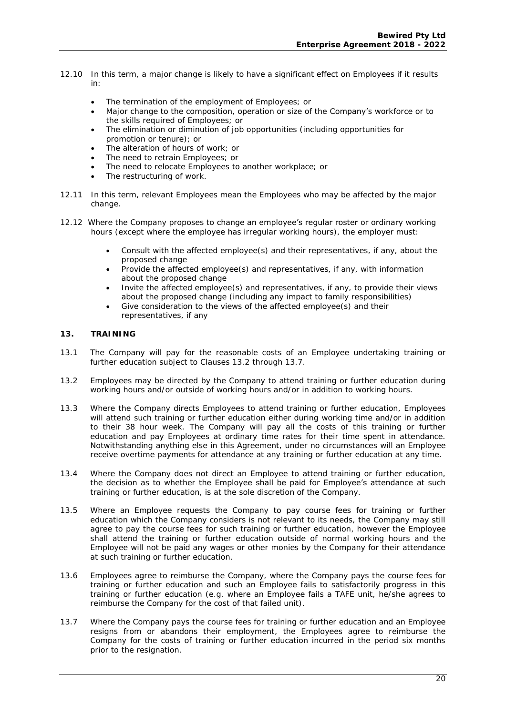- 12.10 In this term, a major change is likely to have a significant effect on Employees if it results in:
	- The termination of the employment of Employees; or
	- Major change to the composition, operation or size of the **Company'**s workforce or to the skills required of Employees; or
	- The elimination or diminution of job opportunities (including opportunities for promotion or tenure); or
	- The alteration of hours of work; or
	- The need to retrain Employees; or
	- The need to relocate Employees to another workplace; or
	- The restructuring of work.
- 12.11 In this term, relevant Employees mean the Employees who may be affected by the major change.
- 12.12 Where the Company proposes to change an employee's regular roster or ordinary working hours (except where the employee has irregular working hours), the employer must:
	- Consult with the affected employee(s) and their representatives, if any, about the proposed change
	- Provide the affected employee(s) and representatives, if any, with information about the proposed change
	- Invite the affected employee(s) and representatives, if any, to provide their views about the proposed change (including any impact to family responsibilities)
	- Give consideration to the views of the affected employee(s) and their representatives, if any

#### **13. TRAINING**

- 13.1 The Company will pay for the reasonable costs of an Employee undertaking training or further education subject to Clauses 13.2 through 13.7.
- 13.2 Employees may be directed by the Company to attend training or further education during working hours and/or outside of working hours and/or in addition to working hours.
- 13.3 Where the Company directs Employees to attend training or further education, Employees will attend such training or further education either during working time and/or in addition to their 38 hour week. The Company will pay all the costs of this training or further education and pay Employees at ordinary time rates for their time spent in attendance. Notwithstanding anything else in this Agreement, under no circumstances will an Employee receive overtime payments for attendance at any training or further education at any time.
- 13.4 Where the Company does not direct an Employee to attend training or further education, the decision as to whether the Employee shall be paid for Employee's attendance at such training or further education, is at the sole discretion of the Company.
- 13.5 Where an Employee requests the Company to pay course fees for training or further education which the Company considers is not relevant to its needs, the Company may still agree to pay the course fees for such training or further education, however the Employee shall attend the training or further education outside of normal working hours and the Employee will not be paid any wages or other monies by the Company for their attendance at such training or further education.
- 13.6 Employees agree to reimburse the Company, where the Company pays the course fees for training or further education and such an Employee fails to satisfactorily progress in this training or further education (e.g. where an Employee fails a TAFE unit, he/she agrees to reimburse the Company for the cost of that failed unit).
- 13.7 Where the Company pays the course fees for training or further education and an Employee resigns from or abandons their employment, the Employees agree to reimburse the Company for the costs of training or further education incurred in the period six months prior to the resignation.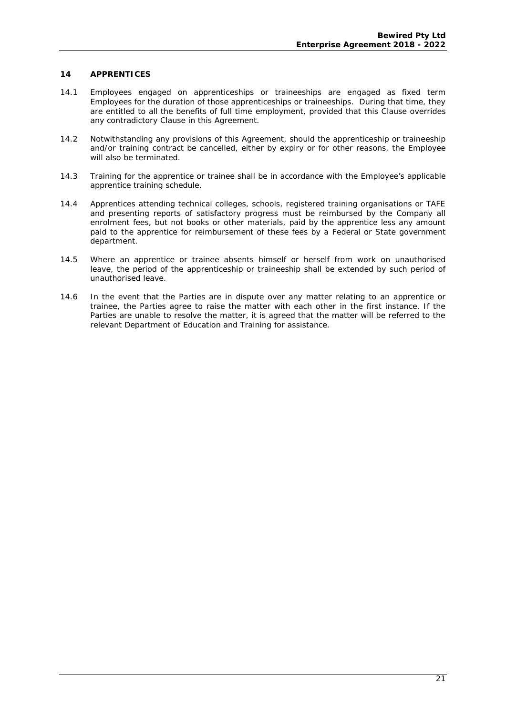#### **14 APPRENTICES**

- 14.1 Employees engaged on apprenticeships or traineeships are engaged as fixed term Employees for the duration of those apprenticeships or traineeships. During that time, they are entitled to all the benefits of full time employment, provided that this Clause overrides any contradictory Clause in this Agreement.
- 14.2 Notwithstanding any provisions of this Agreement, should the apprenticeship or traineeship and/or training contract be cancelled, either by expiry or for other reasons, the Employee will also be terminated.
- 14.3 Training for the apprentice or trainee shall be in accordance with the Employee's applicable apprentice training schedule.
- 14.4 Apprentices attending technical colleges, schools, registered training organisations or TAFE and presenting reports of satisfactory progress must be reimbursed by the Company all enrolment fees, but not books or other materials, paid by the apprentice less any amount paid to the apprentice for reimbursement of these fees by a Federal or State government department.
- 14.5 Where an apprentice or trainee absents himself or herself from work on unauthorised leave, the period of the apprenticeship or traineeship shall be extended by such period of unauthorised leave.
- 14.6 In the event that the Parties are in dispute over any matter relating to an apprentice or trainee, the Parties agree to raise the matter with each other in the first instance. If the Parties are unable to resolve the matter, it is agreed that the matter will be referred to the relevant Department of Education and Training for assistance.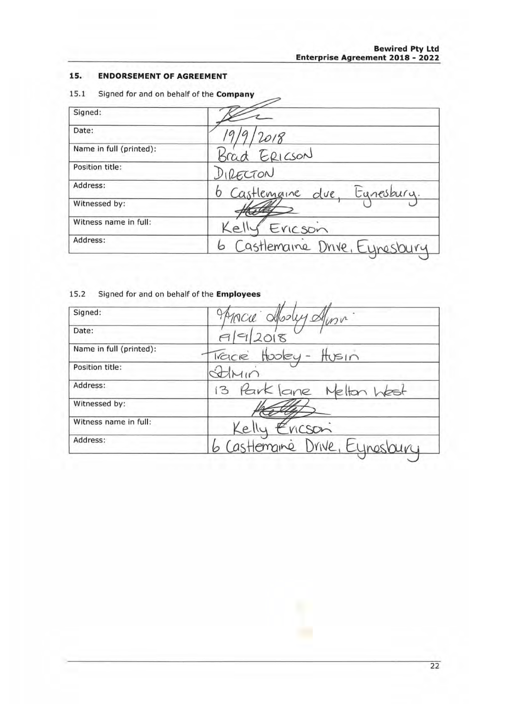#### **15. ENDORSEMENT OF AGREEMENT**

| Signed:                 |                                |
|-------------------------|--------------------------------|
| Date:                   | 2018                           |
| Name in full (printed): | Brad ERICSON                   |
| Position title:         | DIRECTON                       |
| Address:                | 6 Castlemaine due, Egnesbury.  |
| Witnessed by:           |                                |
| Witness name in full:   | Ericson<br>Ke <sub>1</sub>     |
| Address:                | 6 Castlemaine Drive, Eynesbury |

#### 15.1 Signed for and on behalf of the **Company**

#### 15.2 Signed for and on behalf of the **Employees**

| Signed:                 | PARCIE Aboly Alma              |
|-------------------------|--------------------------------|
| Date:                   | 79/2018                        |
| Name in full (printed): | Tracke Hooley - Husin          |
| Position title:         | Sthin                          |
| Address:                | 13 Park lane Nelton West       |
| Witnessed by:           |                                |
| Witness name in full:   | Kelly Ericson                  |
| Address:                | 6 Castlemanne Drive, Eynosbury |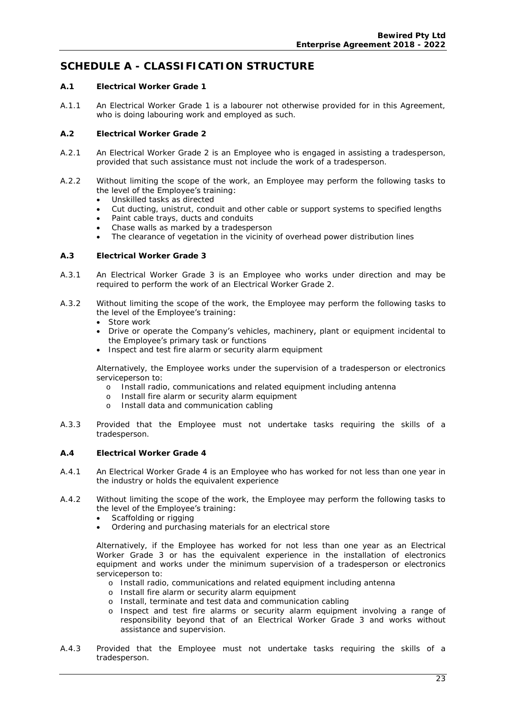### **SCHEDULE A - CLASSIFICATION STRUCTURE**

- **A.1 Electrical Worker Grade 1**
- A.1.1 An Electrical Worker Grade 1 is a labourer not otherwise provided for in this Agreement, who is doing labouring work and employed as such.
- **A.2 Electrical Worker Grade 2**
- A.2.1 An Electrical Worker Grade 2 is an Employee who is engaged in assisting a tradesperson, provided that such assistance must not include the work of a tradesperson.
- A.2.2 Without limiting the scope of the work, an Employee may perform the following tasks to the level of the Employee's training:
	- Unskilled tasks as directed
	- Cut ducting, unistrut, conduit and other cable or support systems to specified lengths
	- Paint cable trays, ducts and conduits
	- Chase walls as marked by a tradesperson
	- The clearance of vegetation in the vicinity of overhead power distribution lines
- **A.3 Electrical Worker Grade 3**
- A.3.1 An Electrical Worker Grade 3 is an Employee who works under direction and may be required to perform the work of an Electrical Worker Grade 2.
- A.3.2 Without limiting the scope of the work, the Employee may perform the following tasks to the level of the Employee's training:
	- Store work
	- Drive or operate the Company's vehicles, machinery, plant or equipment incidental to the Employee's primary task or functions
	- Inspect and test fire alarm or security alarm equipment

Alternatively, the Employee works under the supervision of a tradesperson or electronics serviceperson to:

- o Install radio, communications and related equipment including antenna
- o Install fire alarm or security alarm equipment
- o Install data and communication cabling
- A.3.3 Provided that the Employee must not undertake tasks requiring the skills of a tradesperson.
- **A.4 Electrical Worker Grade 4**
- A.4.1 An Electrical Worker Grade 4 is an Employee who has worked for not less than one year in the industry or holds the equivalent experience
- A.4.2 Without limiting the scope of the work, the Employee may perform the following tasks to the level of the Employee's training:
	- Scaffolding or rigging
	- Ordering and purchasing materials for an electrical store

Alternatively, if the Employee has worked for not less than one year as an Electrical Worker Grade 3 or has the equivalent experience in the installation of electronics equipment and works under the minimum supervision of a tradesperson or electronics serviceperson to:

- o Install radio, communications and related equipment including antenna
- o Install fire alarm or security alarm equipment
- o Install, terminate and test data and communication cabling
- o Inspect and test fire alarms or security alarm equipment involving a range of responsibility beyond that of an Electrical Worker Grade 3 and works without assistance and supervision.
- A.4.3 Provided that the Employee must not undertake tasks requiring the skills of a tradesperson.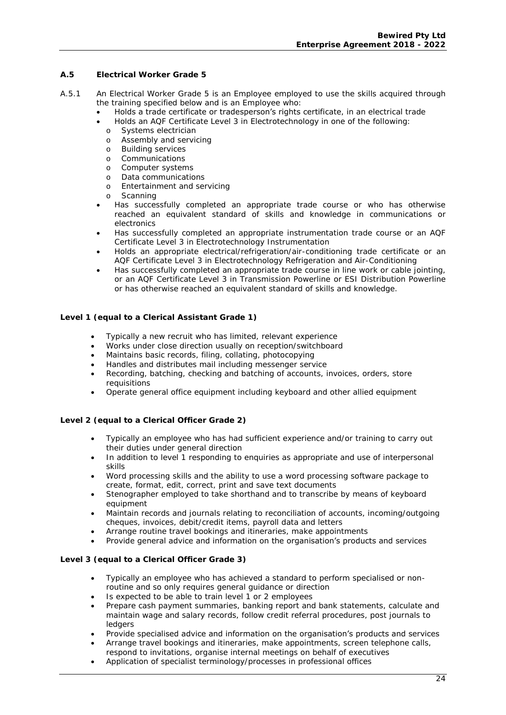- **A.5 Electrical Worker Grade 5**
- A.5.1 An Electrical Worker Grade 5 is an Employee employed to use the skills acquired through the training specified below and is an Employee who:
	- Holds a trade certificate or tradesperson's rights certificate, in an electrical trade
	- Holds an AQF Certificate Level 3 in Electrotechnology in one of the following:
		- o Systems electrician
		- o Assembly and servicing
		- o Building services
		- o Communications
		- o Computer systems
		- o Data communications
		- o Entertainment and servicing
		- o Scanning
	- Has successfully completed an appropriate trade course or who has otherwise reached an equivalent standard of skills and knowledge in communications or electronics
	- Has successfully completed an appropriate instrumentation trade course or an AQF Certificate Level 3 in Electrotechnology Instrumentation
	- Holds an appropriate electrical/refrigeration/air-conditioning trade certificate or an AQF Certificate Level 3 in Electrotechnology Refrigeration and Air-Conditioning
	- Has successfully completed an appropriate trade course in line work or cable jointing, or an AQF Certificate Level 3 in Transmission Powerline or ESI Distribution Powerline or has otherwise reached an equivalent standard of skills and knowledge.

#### **Level 1 (equal to a Clerical Assistant Grade 1)**

- Typically a new recruit who has limited, relevant experience
- Works under close direction usually on reception/switchboard
- Maintains basic records, filing, collating, photocopying
- Handles and distributes mail including messenger service
- Recording, batching, checking and batching of accounts, invoices, orders, store requisitions
- Operate general office equipment including keyboard and other allied equipment

**Level 2 (equal to a Clerical Officer Grade 2)** 

- Typically an employee who has had sufficient experience and/or training to carry out their duties under general direction
- In addition to level 1 responding to enquiries as appropriate and use of interpersonal skills
- Word processing skills and the ability to use a word processing software package to create, format, edit, correct, print and save text documents
- Stenographer employed to take shorthand and to transcribe by means of keyboard equipment
- Maintain records and journals relating to reconciliation of accounts, incoming/outgoing cheques, invoices, debit/credit items, payroll data and letters
- Arrange routine travel bookings and itineraries, make appointments
- Provide general advice and information on the organisation's products and services

**Level 3 (equal to a Clerical Officer Grade 3)** 

- Typically an employee who has achieved a standard to perform specialised or nonroutine and so only requires general guidance or direction
- Is expected to be able to train level 1 or 2 employees
- Prepare cash payment summaries, banking report and bank statements, calculate and maintain wage and salary records, follow credit referral procedures, post journals to ledgers
- Provide specialised advice and information on the organisation's products and services
- Arrange travel bookings and itineraries, make appointments, screen telephone calls, respond to invitations, organise internal meetings on behalf of executives
- Application of specialist terminology/processes in professional offices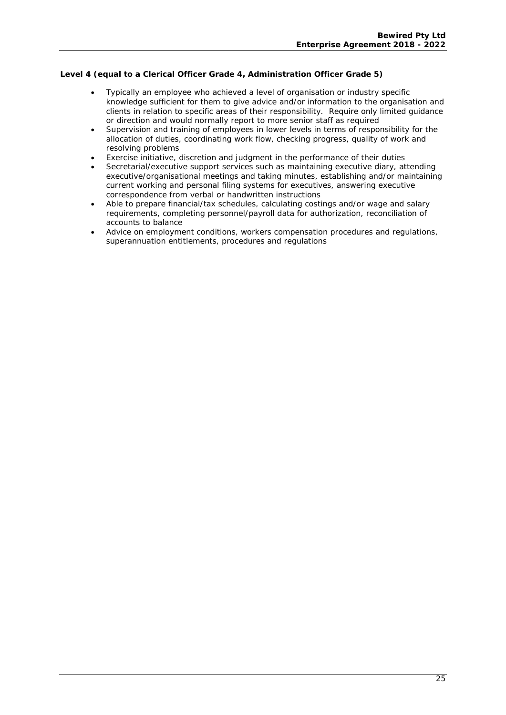**Level 4 (equal to a Clerical Officer Grade 4, Administration Officer Grade 5)** 

- Typically an employee who achieved a level of organisation or industry specific knowledge sufficient for them to give advice and/or information to the organisation and clients in relation to specific areas of their responsibility. Require only limited guidance or direction and would normally report to more senior staff as required
- Supervision and training of employees in lower levels in terms of responsibility for the allocation of duties, coordinating work flow, checking progress, quality of work and resolving problems
- Exercise initiative, discretion and judgment in the performance of their duties
- Secretarial/executive support services such as maintaining executive diary, attending executive/organisational meetings and taking minutes, establishing and/or maintaining current working and personal filing systems for executives, answering executive correspondence from verbal or handwritten instructions
- Able to prepare financial/tax schedules, calculating costings and/or wage and salary requirements, completing personnel/payroll data for authorization, reconciliation of accounts to balance
- Advice on employment conditions, workers compensation procedures and regulations, superannuation entitlements, procedures and regulations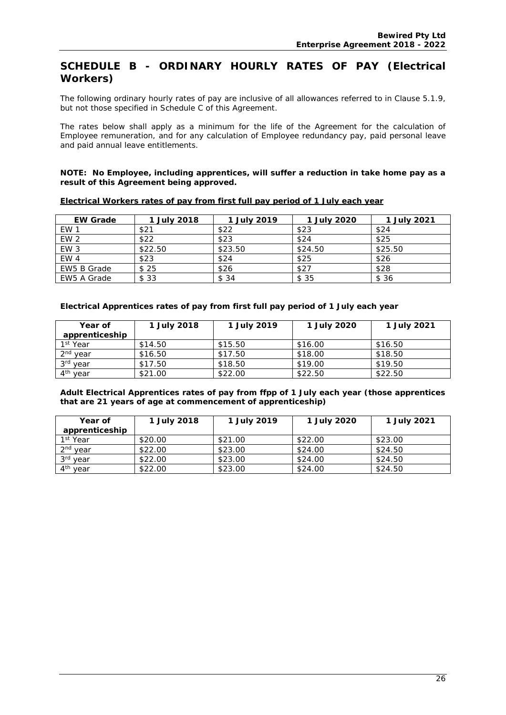#### **SCHEDULE B - ORDINARY HOURLY RATES OF PAY (Electrical Workers)**

The following ordinary hourly rates of pay are inclusive of all allowances referred to in Clause 5.1.9, but not those specified in Schedule C of this Agreement.

The rates below shall apply as a minimum for the life of the Agreement for the calculation of Employee remuneration, and for any calculation of Employee redundancy pay, paid personal leave and paid annual leave entitlements.

**NOTE: No Employee, including apprentices, will suffer a reduction in take home pay as a result of this Agreement being approved.** 

| <b>EW Grade</b> | 1 July 2018    | l July 2019 | 1 July 2020 | 1 July 2021 |
|-----------------|----------------|-------------|-------------|-------------|
| EW 1            | $$2^{\degree}$ | \$22        | \$23        | \$24        |
| EW <sub>2</sub> | \$22           | \$23        | \$24        | \$25        |
| EW <sub>3</sub> | \$22.50        | \$23.50     | \$24.50     | \$25.50     |
| EW <sub>4</sub> | \$23           | \$24        | \$25        | \$26        |
| EW5 B Grade     | \$25           | \$26        | \$27        | \$28        |
| EW5 A Grade     | \$ 33          | \$34        | \$ 35       | \$ 36       |

**Electrical Workers rates of pay from first full pay period of 1 July each year** 

**Electrical Apprentices rates of pay from first full pay period of 1 July each year** 

| Year of              | 1 July 2018 | 1 July 2019 | 1 July 2020 | 1 July 2021 |
|----------------------|-------------|-------------|-------------|-------------|
| apprenticeship       |             |             |             |             |
| 1 <sup>st</sup> Year | \$14.50     | \$15.50     | \$16.00     | \$16.50     |
| 2 <sup>nd</sup> year | \$16.50     | \$17.50     | \$18.00     | \$18.50     |
| 3rd year             | \$17.50     | \$18.50     | \$19.00     | \$19.50     |
| 4 <sup>th</sup> year | \$21.00     | \$22.00     | \$22.50     | \$22.50     |

**Adult Electrical Apprentices rates of pay from ffpp of 1 July each year (those apprentices that are 21 years of age at commencement of apprenticeship)** 

| Year of              | 1 July 2018 | 1 July 2019 | 1 July 2020 | 1 July 2021 |
|----------------------|-------------|-------------|-------------|-------------|
| apprenticeship       |             |             |             |             |
| 1st Year             | \$20.00     | \$21.00     | \$22.00     | \$23.00     |
| 2 <sup>nd</sup> year | \$22.00     | \$23.00     | \$24.00     | \$24.50     |
| 3rd year             | \$22.00     | \$23.00     | \$24.00     | \$24.50     |
| 4 <sup>th</sup> year | \$22.00     | \$23.00     | \$24.00     | \$24.50     |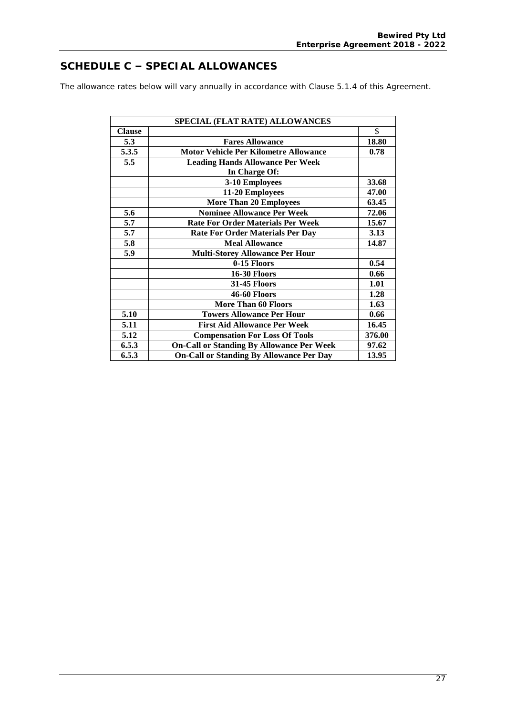### **SCHEDULE C – SPECIAL ALLOWANCES**

The allowance rates below will vary annually in accordance with Clause 5.1.4 of this Agreement.

|               | SPECIAL (FLAT RATE) ALLOWANCES                   |        |
|---------------|--------------------------------------------------|--------|
| <b>Clause</b> |                                                  | \$     |
| 5.3           | <b>Fares Allowance</b>                           | 18.80  |
| 5.3.5         | <b>Motor Vehicle Per Kilometre Allowance</b>     | 0.78   |
| 5.5           | <b>Leading Hands Allowance Per Week</b>          |        |
|               | In Charge Of:                                    |        |
|               | 3-10 Employees                                   | 33.68  |
|               | 11-20 Employees                                  | 47.00  |
|               | <b>More Than 20 Employees</b>                    | 63.45  |
| 5.6           | <b>Nominee Allowance Per Week</b>                | 72.06  |
| 5.7           | <b>Rate For Order Materials Per Week</b>         | 15.67  |
| 5.7           | <b>Rate For Order Materials Per Day</b>          | 3.13   |
| 5.8           | <b>Meal Allowance</b>                            | 14.87  |
| 5.9           | <b>Multi-Storey Allowance Per Hour</b>           |        |
|               | 0-15 Floors                                      | 0.54   |
|               | <b>16-30 Floors</b>                              | 0.66   |
|               | <b>31-45 Floors</b>                              | 1.01   |
|               | <b>46-60 Floors</b>                              | 1.28   |
|               | <b>More Than 60 Floors</b>                       | 1.63   |
| 5.10          | <b>Towers Allowance Per Hour</b>                 | 0.66   |
| 5.11          | <b>First Aid Allowance Per Week</b>              | 16.45  |
| 5.12          | <b>Compensation For Loss Of Tools</b>            | 376.00 |
| 6.5.3         | <b>On-Call or Standing By Allowance Per Week</b> | 97.62  |
| 6.5.3         | <b>On-Call or Standing By Allowance Per Day</b>  | 13.95  |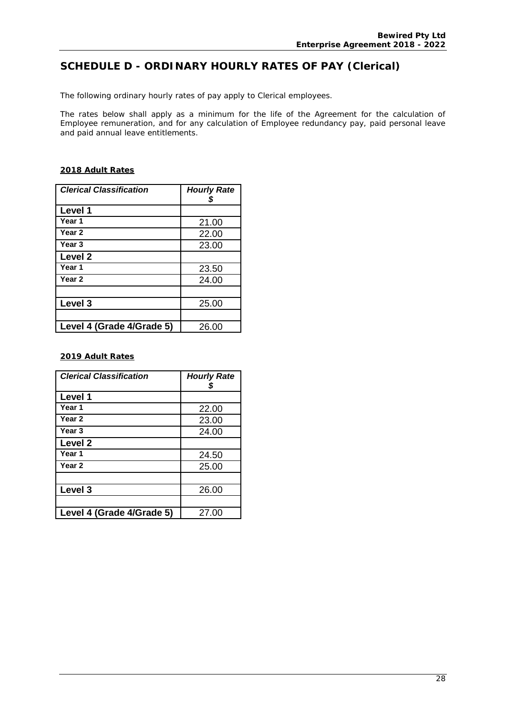### **SCHEDULE D - ORDINARY HOURLY RATES OF PAY (Clerical)**

The following ordinary hourly rates of pay apply to Clerical employees.

The rates below shall apply as a minimum for the life of the Agreement for the calculation of Employee remuneration, and for any calculation of Employee redundancy pay, paid personal leave and paid annual leave entitlements.

#### **2018 Adult Rates**

| <b>Clerical Classification</b> | <b>Hourly Rate</b> |
|--------------------------------|--------------------|
| Level 1                        |                    |
| Year 1                         | 21.00              |
| Year 2                         | 22.00              |
| Year <sub>3</sub>              | 23.00              |
| Level <sub>2</sub>             |                    |
| Year 1                         | 23.50              |
| Year 2                         | 24.00              |
|                                |                    |
| Level 3                        | 25.00              |
|                                |                    |
| Level 4 (Grade 4/Grade 5)      | 26.00              |

#### **2019 Adult Rates**

| <b>Clerical Classification</b> | <b>Hourly Rate</b><br>S |
|--------------------------------|-------------------------|
| Level 1                        |                         |
| Year 1                         | 22.00                   |
| Year 2                         | 23.00                   |
| Year <sub>3</sub>              | 24.00                   |
| Level 2                        |                         |
| Year 1                         | 24.50                   |
| Year 2                         | 25.00                   |
|                                |                         |
| Level 3                        | 26.00                   |
|                                |                         |
| Level 4 (Grade 4/Grade 5)      | 27.00                   |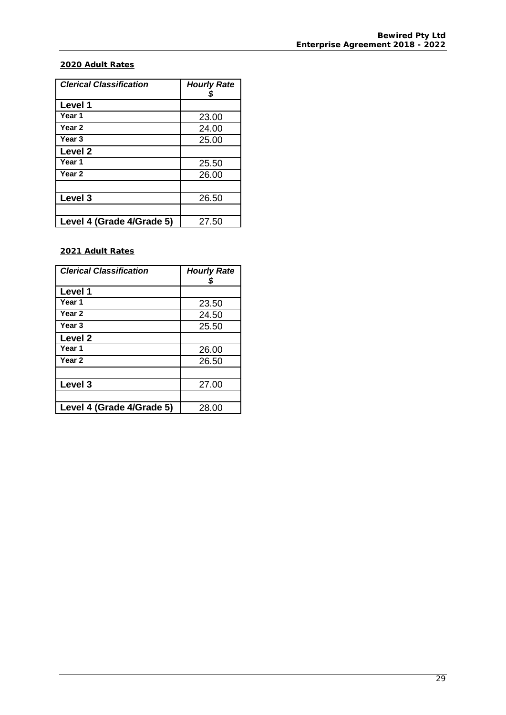#### **2020 Adult Rates**

| Clerical Classification   | <b>Hourly Rate</b> |
|---------------------------|--------------------|
| <b>Level 1</b>            |                    |
| Year 1                    | 23.00              |
| Year 2                    | 24.00              |
| Year <sub>3</sub>         | 25.00              |
| Level 2                   |                    |
| Year 1                    | 25.50              |
| Year 2                    | 26.00              |
|                           |                    |
| Level 3                   | 26.50              |
|                           |                    |
| Level 4 (Grade 4/Grade 5) | 27.50              |

**2021 Adult Rates** 

| <b>Clerical Classification</b> | <b>Hourly Rate</b> |
|--------------------------------|--------------------|
| Level 1                        |                    |
| Year 1                         | 23.50              |
| Year 2                         | 24.50              |
| Year <sub>3</sub>              | 25.50              |
| Level 2                        |                    |
| Year 1                         | 26.00              |
| Year 2                         | 26.50              |
|                                |                    |
| Level 3                        | 27.00              |
|                                |                    |
| Level 4 (Grade 4/Grade 5)      | 28.00              |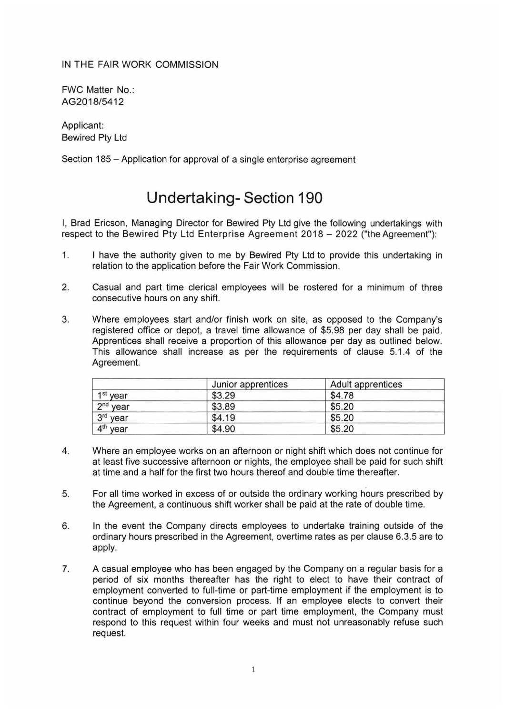IN **THE** FAIR WORK COMMISSION

FWC Matter No.: AG2018/5412

Applicant: Bewired Pty Ltd

Section 185 - Application for approval of a single enterprise agreement

## **Undertaking- Section 190**

I, Brad Ericson, Managing Director for Bewired Pty Ltd give the following undertakings with respect to the Bewired Pty Ltd Enterprise Agreement 2018 - 2022 ("the Agreement"):

- 1. I have the authority given to me by Bewired Pty Ltd to provide this undertaking in relation to the application before the Fair Work Commission.
- 2. Casual and part time clerical employees will be rostered for a minimum of three consecutive hours on any shift.
- 3. Where employees start and/or finish work on site, as opposed to the Company's registered office or depot, a travel time allowance of \$5.98 per day shall be paid. Apprentices shall receive a proportion of this allowance per day as outlined below. This allowance shall increase as per the requirements of clause 5.1 .4 of the Agreement.

|                      | Junior apprentices | Adult apprentices |
|----------------------|--------------------|-------------------|
| 1 <sup>st</sup> year | \$3.29             | \$4.78            |
| $2nd$ year           | \$3.89             | \$5.20            |
| 3rd year             | \$4.19             | \$5.20            |
| 4 <sup>th</sup> year | \$4.90             | \$5.20            |

- 4. Where an employee works on an afternoon or night shift which does not continue for at least five successive afternoon or nights, the employee shall be paid for such shift at time and a half for the first two hours thereof and double time thereafter.
- 5. For all time worked in excess of or outside the ordinary working hours prescribed by the Agreement, a continuous shift worker shall be paid at the rate of double time.
- 6. In the event the Company directs employees to undertake training outside of the ordinary hours prescribed in the Agreement, overtime rates as per clause 6.3.5 are to apply.
- 7. A casual employee who has been engaged by the Company on a regular basis for a period of six months thereafter has the right to elect to have their contract of employment converted to full-time or part-time employment if the employment is to continue beyond the conversion process. If an employee elects to convert their contract of employment to full time or part time employment, the Company must respond to this request within four weeks and must not unreasonably refuse such request.